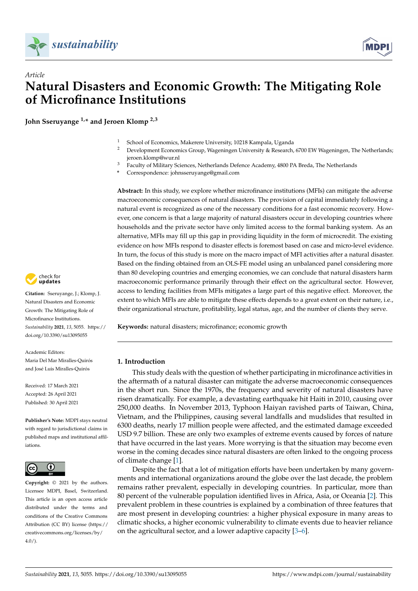



# *Article* **Natural Disasters and Economic Growth: The Mitigating Role of Microfinance Institutions**

**John Sseruyange 1,\* and Jeroen Klomp 2,3**

- <sup>1</sup> School of Economics, Makerere University, 10218 Kampala, Uganda<br><sup>2</sup> Development Economics Group, Wageningen University & Research
- <sup>2</sup> Development Economics Group, Wageningen University & Research, 6700 EW Wageningen, The Netherlands; jeroen.klomp@wur.nl
- <sup>3</sup> Faculty of Military Sciences, Netherlands Defence Academy, 4800 PA Breda, The Netherlands
- **\*** Correspondence: johnsseruyange@gmail.com

**Abstract:** In this study, we explore whether microfinance institutions (MFIs) can mitigate the adverse macroeconomic consequences of natural disasters. The provision of capital immediately following a natural event is recognized as one of the necessary conditions for a fast economic recovery. However, one concern is that a large majority of natural disasters occur in developing countries where households and the private sector have only limited access to the formal banking system. As an alternative, MFIs may fill up this gap in providing liquidity in the form of microcredit. The existing evidence on how MFIs respond to disaster effects is foremost based on case and micro-level evidence. In turn, the focus of this study is more on the macro impact of MFI activities after a natural disaster. Based on the finding obtained from an OLS-FE model using an unbalanced panel considering more than 80 developing countries and emerging economies, we can conclude that natural disasters harm macroeconomic performance primarily through their effect on the agricultural sector. However, access to lending facilities from MFIs mitigates a large part of this negative effect. Moreover, the extent to which MFIs are able to mitigate these effects depends to a great extent on their nature, i.e., their organizational structure, profitability, legal status, age, and the number of clients they serve.

**Keywords:** natural disasters; microfinance; economic growth

#### **1. Introduction**

This study deals with the question of whether participating in microfinance activities in the aftermath of a natural disaster can mitigate the adverse macroeconomic consequences in the short run. Since the 1970s, the frequency and severity of natural disasters have risen dramatically. For example, a devastating earthquake hit Haiti in 2010, causing over 250,000 deaths. In November 2013, Typhoon Haiyan ravished parts of Taiwan, China, Vietnam, and the Philippines, causing several landfalls and mudslides that resulted in 6300 deaths, nearly 17 million people were affected, and the estimated damage exceeded USD 9.7 billion. These are only two examples of extreme events caused by forces of nature that have occurred in the last years. More worrying is that the situation may become even worse in the coming decades since natural disasters are often linked to the ongoing process of climate change [\[1\]](#page-17-0).

Despite the fact that a lot of mitigation efforts have been undertaken by many governments and international organizations around the globe over the last decade, the problem remains rather prevalent, especially in developing countries. In particular, more than 80 percent of the vulnerable population identified lives in Africa, Asia, or Oceania [\[2\]](#page-17-1). This prevalent problem in these countries is explained by a combination of three features that are most present in developing countries: a higher physical exposure in many areas to climatic shocks, a higher economic vulnerability to climate events due to heavier reliance on the agricultural sector, and a lower adaptive capacity [\[3–](#page-17-2)[6\]](#page-18-0).



**Citation:** Sseruyange, J.; Klomp, J. Natural Disasters and Economic Growth: The Mitigating Role of Microfinance Institutions. *Sustainability* **2021**, *13*, 5055. [https://](https://doi.org/10.3390/su13095055) [doi.org/10.3390/su13095055](https://doi.org/10.3390/su13095055)

Academic Editors: Maria Del Mar Miralles-Quirós and José Luis Miralles-Quirós

Received: 17 March 2021 Accepted: 26 April 2021 Published: 30 April 2021

**Publisher's Note:** MDPI stays neutral with regard to jurisdictional claims in published maps and institutional affiliations.



**Copyright:** © 2021 by the authors. Licensee MDPI, Basel, Switzerland. This article is an open access article distributed under the terms and conditions of the Creative Commons Attribution (CC BY) license (https:/[/](https://creativecommons.org/licenses/by/4.0/) [creativecommons.org/licenses/by/](https://creativecommons.org/licenses/by/4.0/)  $4.0/$ ).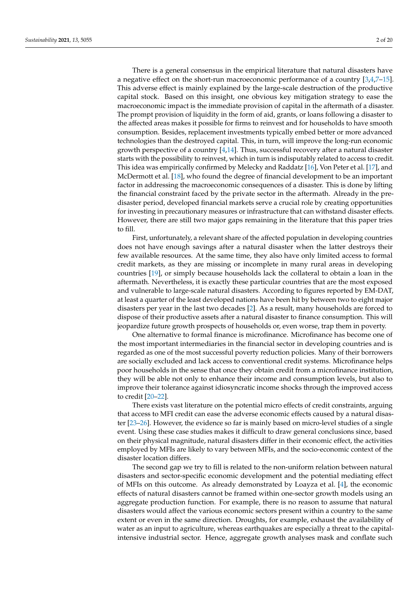There is a general consensus in the empirical literature that natural disasters have a negative effect on the short-run macroeconomic performance of a country [\[3,](#page-17-2)[4,](#page-17-3)[7](#page-18-1)[–15\]](#page-18-2). This adverse effect is mainly explained by the large-scale destruction of the productive capital stock. Based on this insight, one obvious key mitigation strategy to ease the macroeconomic impact is the immediate provision of capital in the aftermath of a disaster. The prompt provision of liquidity in the form of aid, grants, or loans following a disaster to the affected areas makes it possible for firms to reinvest and for households to have smooth consumption. Besides, replacement investments typically embed better or more advanced technologies than the destroyed capital. This, in turn, will improve the long-run economic growth perspective of a country  $[4,14]$  $[4,14]$ . Thus, successful recovery after a natural disaster starts with the possibility to reinvest, which in turn is indisputably related to access to credit. This idea was empirically confirmed by Melecky and Raddatz [\[16\]](#page-18-4), Von Peter et al. [\[17\]](#page-18-5), and McDermott et al. [\[18\]](#page-18-6), who found the degree of financial development to be an important factor in addressing the macroeconomic consequences of a disaster. This is done by lifting the financial constraint faced by the private sector in the aftermath. Already in the predisaster period, developed financial markets serve a crucial role by creating opportunities for investing in precautionary measures or infrastructure that can withstand disaster effects. However, there are still two major gaps remaining in the literature that this paper tries to fill.

First, unfortunately, a relevant share of the affected population in developing countries does not have enough savings after a natural disaster when the latter destroys their few available resources. At the same time, they also have only limited access to formal credit markets, as they are missing or incomplete in many rural areas in developing countries [\[19\]](#page-18-7), or simply because households lack the collateral to obtain a loan in the aftermath. Nevertheless, it is exactly these particular countries that are the most exposed and vulnerable to large-scale natural disasters. According to figures reported by EM-DAT, at least a quarter of the least developed nations have been hit by between two to eight major disasters per year in the last two decades [\[2\]](#page-17-1). As a result, many households are forced to dispose of their productive assets after a natural disaster to finance consumption. This will jeopardize future growth prospects of households or, even worse, trap them in poverty.

One alternative to formal finance is microfinance. Microfinance has become one of the most important intermediaries in the financial sector in developing countries and is regarded as one of the most successful poverty reduction policies. Many of their borrowers are socially excluded and lack access to conventional credit systems. Microfinance helps poor households in the sense that once they obtain credit from a microfinance institution, they will be able not only to enhance their income and consumption levels, but also to improve their tolerance against idiosyncratic income shocks through the improved access to credit [\[20](#page-18-8)[–22\]](#page-18-9).

There exists vast literature on the potential micro effects of credit constraints, arguing that access to MFI credit can ease the adverse economic effects caused by a natural disaster [\[23–](#page-18-10)[26\]](#page-18-11). However, the evidence so far is mainly based on micro-level studies of a single event. Using these case studies makes it difficult to draw general conclusions since, based on their physical magnitude, natural disasters differ in their economic effect, the activities employed by MFIs are likely to vary between MFIs, and the socio-economic context of the disaster location differs.

The second gap we try to fill is related to the non-uniform relation between natural disasters and sector-specific economic development and the potential mediating effect of MFIs on this outcome. As already demonstrated by Loayza et al. [\[4\]](#page-17-3), the economic effects of natural disasters cannot be framed within one-sector growth models using an aggregate production function. For example, there is no reason to assume that natural disasters would affect the various economic sectors present within a country to the same extent or even in the same direction. Droughts, for example, exhaust the availability of water as an input to agriculture, whereas earthquakes are especially a threat to the capitalintensive industrial sector. Hence, aggregate growth analyses mask and conflate such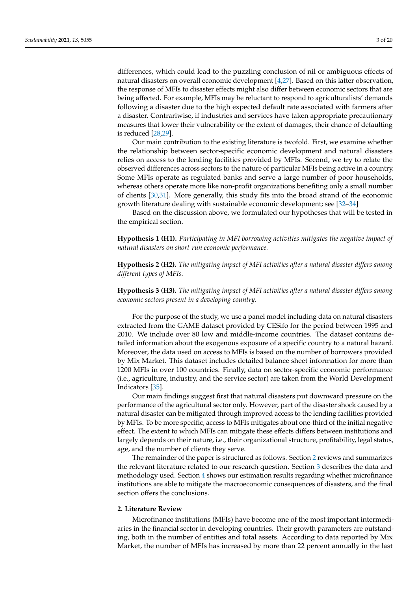differences, which could lead to the puzzling conclusion of nil or ambiguous effects of natural disasters on overall economic development [\[4,](#page-17-3)[27\]](#page-18-12). Based on this latter observation, the response of MFIs to disaster effects might also differ between economic sectors that are being affected. For example, MFIs may be reluctant to respond to agriculturalists' demands following a disaster due to the high expected default rate associated with farmers after a disaster. Contrariwise, if industries and services have taken appropriate precautionary measures that lower their vulnerability or the extent of damages, their chance of defaulting is reduced [\[28,](#page-18-13)[29\]](#page-18-14).

Our main contribution to the existing literature is twofold. First, we examine whether the relationship between sector-specific economic development and natural disasters relies on access to the lending facilities provided by MFIs. Second, we try to relate the observed differences across sectors to the nature of particular MFIs being active in a country. Some MFIs operate as regulated banks and serve a large number of poor households, whereas others operate more like non-profit organizations benefiting only a small number of clients [\[30,](#page-18-15)[31\]](#page-18-16). More generally, this study fits into the broad strand of the economic growth literature dealing with sustainable economic development; see [\[32](#page-18-17)[–34\]](#page-18-18)

Based on the discussion above, we formulated our hypotheses that will be tested in the empirical section.

**Hypothesis 1 (H1).** *Participating in MFI borrowing activities mitigates the negative impact of natural disasters on short-run economic performance.*

**Hypothesis 2 (H2).** *The mitigating impact of MFI activities after a natural disaster differs among different types of MFIs.*

**Hypothesis 3 (H3).** *The mitigating impact of MFI activities after a natural disaster differs among economic sectors present in a developing country.*

For the purpose of the study, we use a panel model including data on natural disasters extracted from the GAME dataset provided by CESifo for the period between 1995 and 2010. We include over 80 low and middle-income countries. The dataset contains detailed information about the exogenous exposure of a specific country to a natural hazard. Moreover, the data used on access to MFIs is based on the number of borrowers provided by Mix Market. This dataset includes detailed balance sheet information for more than 1200 MFIs in over 100 countries. Finally, data on sector-specific economic performance (i.e., agriculture, industry, and the service sector) are taken from the World Development Indicators [\[35\]](#page-18-19).

Our main findings suggest first that natural disasters put downward pressure on the performance of the agricultural sector only. However, part of the disaster shock caused by a natural disaster can be mitigated through improved access to the lending facilities provided by MFIs. To be more specific, access to MFIs mitigates about one-third of the initial negative effect. The extent to which MFIs can mitigate these effects differs between institutions and largely depends on their nature, i.e., their organizational structure, profitability, legal status, age, and the number of clients they serve.

The remainder of the paper is structured as follows. Section [2](#page-2-0) reviews and summarizes the relevant literature related to our research question. Section [3](#page-4-0) describes the data and methodology used. Section [4](#page-7-0) shows our estimation results regarding whether microfinance institutions are able to mitigate the macroeconomic consequences of disasters, and the final section offers the conclusions.

## <span id="page-2-0"></span>**2. Literature Review**

Microfinance institutions (MFIs) have become one of the most important intermediaries in the financial sector in developing countries. Their growth parameters are outstanding, both in the number of entities and total assets. According to data reported by Mix Market, the number of MFIs has increased by more than 22 percent annually in the last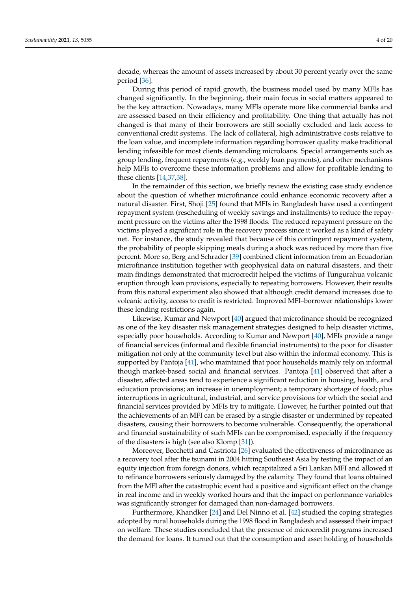decade, whereas the amount of assets increased by about 30 percent yearly over the same period [\[36\]](#page-18-20).

During this period of rapid growth, the business model used by many MFIs has changed significantly. In the beginning, their main focus in social matters appeared to be the key attraction. Nowadays, many MFIs operate more like commercial banks and are assessed based on their efficiency and profitability. One thing that actually has not changed is that many of their borrowers are still socially excluded and lack access to conventional credit systems. The lack of collateral, high administrative costs relative to the loan value, and incomplete information regarding borrower quality make traditional lending infeasible for most clients demanding microloans. Special arrangements such as group lending, frequent repayments (e.g., weekly loan payments), and other mechanisms help MFIs to overcome these information problems and allow for profitable lending to these clients [\[14,](#page-18-3)[37,](#page-18-21)[38\]](#page-18-22).

In the remainder of this section, we briefly review the existing case study evidence about the question of whether microfinance could enhance economic recovery after a natural disaster. First, Shoji [\[25\]](#page-18-23) found that MFIs in Bangladesh have used a contingent repayment system (rescheduling of weekly savings and installments) to reduce the repayment pressure on the victims after the 1998 floods. The reduced repayment pressure on the victims played a significant role in the recovery process since it worked as a kind of safety net. For instance, the study revealed that because of this contingent repayment system, the probability of people skipping meals during a shock was reduced by more than five percent. More so, Berg and Schrader [\[39\]](#page-18-24) combined client information from an Ecuadorian microfinance institution together with geophysical data on natural disasters, and their main findings demonstrated that microcredit helped the victims of Tungurahua volcanic eruption through loan provisions, especially to repeating borrowers. However, their results from this natural experiment also showed that although credit demand increases due to volcanic activity, access to credit is restricted. Improved MFI–borrower relationships lower these lending restrictions again.

Likewise, Kumar and Newport [\[40\]](#page-18-25) argued that microfinance should be recognized as one of the key disaster risk management strategies designed to help disaster victims, especially poor households. According to Kumar and Newport [\[40\]](#page-18-25), MFIs provide a range of financial services (informal and flexible financial instruments) to the poor for disaster mitigation not only at the community level but also within the informal economy. This is supported by Pantoja [\[41\]](#page-19-0), who maintained that poor households mainly rely on informal though market-based social and financial services. Pantoja [\[41\]](#page-19-0) observed that after a disaster, affected areas tend to experience a significant reduction in housing, health, and education provisions; an increase in unemployment; a temporary shortage of food; plus interruptions in agricultural, industrial, and service provisions for which the social and financial services provided by MFIs try to mitigate. However, he further pointed out that the achievements of an MFI can be erased by a single disaster or undermined by repeated disasters, causing their borrowers to become vulnerable. Consequently, the operational and financial sustainability of such MFIs can be compromised, especially if the frequency of the disasters is high (see also Klomp [\[31\]](#page-18-16)).

Moreover, Becchetti and Castriota [\[26\]](#page-18-11) evaluated the effectiveness of microfinance as a recovery tool after the tsunami in 2004 hitting Southeast Asia by testing the impact of an equity injection from foreign donors, which recapitalized a Sri Lankan MFI and allowed it to refinance borrowers seriously damaged by the calamity. They found that loans obtained from the MFI after the catastrophic event had a positive and significant effect on the change in real income and in weekly worked hours and that the impact on performance variables was significantly stronger for damaged than non-damaged borrowers.

Furthermore, Khandker [\[24\]](#page-18-26) and Del Ninno et al. [\[42\]](#page-19-1) studied the coping strategies adopted by rural households during the 1998 flood in Bangladesh and assessed their impact on welfare. These studies concluded that the presence of microcredit programs increased the demand for loans. It turned out that the consumption and asset holding of households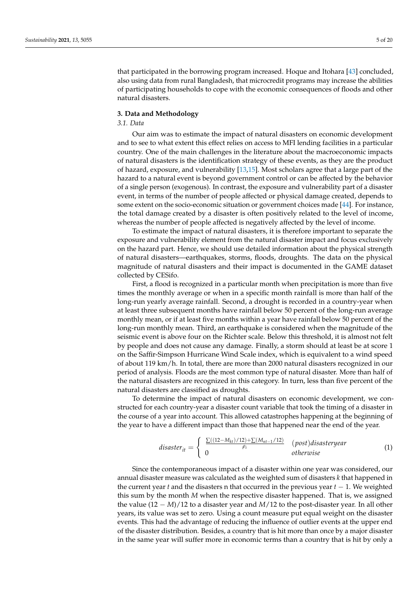that participated in the borrowing program increased. Hoque and Itohara [\[43\]](#page-19-2) concluded, also using data from rural Bangladesh, that microcredit programs may increase the abilities of participating households to cope with the economic consequences of floods and other natural disasters.

### <span id="page-4-0"></span>**3. Data and Methodology**

## *3.1. Data*

Our aim was to estimate the impact of natural disasters on economic development and to see to what extent this effect relies on access to MFI lending facilities in a particular country. One of the main challenges in the literature about the macroeconomic impacts of natural disasters is the identification strategy of these events, as they are the product of hazard, exposure, and vulnerability [\[13,](#page-18-27)[15\]](#page-18-2). Most scholars agree that a large part of the hazard to a natural event is beyond government control or can be affected by the behavior of a single person (exogenous). In contrast, the exposure and vulnerability part of a disaster event, in terms of the number of people affected or physical damage created, depends to some extent on the socio-economic situation or government choices made [\[44\]](#page-19-3). For instance, the total damage created by a disaster is often positively related to the level of income, whereas the number of people affected is negatively affected by the level of income.

To estimate the impact of natural disasters, it is therefore important to separate the exposure and vulnerability element from the natural disaster impact and focus exclusively on the hazard part. Hence, we should use detailed information about the physical strength of natural disasters—earthquakes, storms, floods, droughts. The data on the physical magnitude of natural disasters and their impact is documented in the GAME dataset collected by CESifo.

First, a flood is recognized in a particular month when precipitation is more than five times the monthly average or when in a specific month rainfall is more than half of the long-run yearly average rainfall. Second, a drought is recorded in a country-year when at least three subsequent months have rainfall below 50 percent of the long-run average monthly mean, or if at least five months within a year have rainfall below 50 percent of the long-run monthly mean. Third, an earthquake is considered when the magnitude of the seismic event is above four on the Richter scale. Below this threshold, it is almost not felt by people and does not cause any damage. Finally, a storm should at least be at score 1 on the Saffir-Simpson Hurricane Wind Scale index, which is equivalent to a wind speed of about 119 km/h. In total, there are more than 2000 natural disasters recognized in our period of analysis. Floods are the most common type of natural disaster. More than half of the natural disasters are recognized in this category. In turn, less than five percent of the natural disasters are classified as droughts.

To determine the impact of natural disasters on economic development, we constructed for each country-year a disaster count variable that took the timing of a disaster in the course of a year into account. This allowed catastrophes happening at the beginning of the year to have a different impact than those that happened near the end of the year.

$$
disaster_{it} = \begin{cases} \frac{\sum((12 - M_{kt})/12) + \sum(M_{nt-1}/12)}{\rho_i} & (post)disaster year\\ 0 & otherwise \end{cases}
$$
(1)

Since the contemporaneous impact of a disaster within one year was considered, our annual disaster measure was calculated as the weighted sum of disasters *k* that happened in the current year *t* and the disasters n that occurred in the previous year *t* − 1. We weighted this sum by the month *M* when the respective disaster happened. That is, we assigned the value (12 − *M*)/12 to a disaster year and *M*/12 to the post-disaster year. In all other years, its value was set to zero. Using a count measure put equal weight on the disaster events. This had the advantage of reducing the influence of outlier events at the upper end of the disaster distribution. Besides, a country that is hit more than once by a major disaster in the same year will suffer more in economic terms than a country that is hit by only a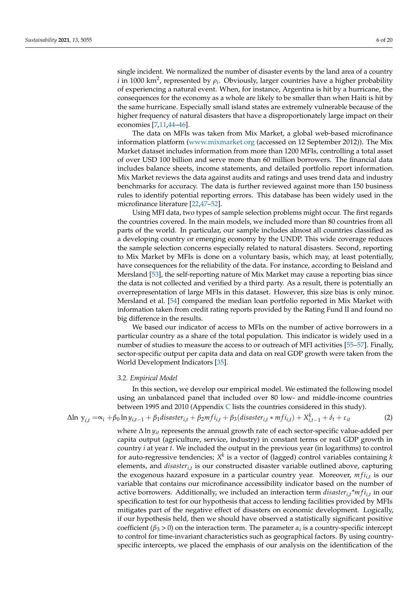single incident. We normalized the number of disaster events by the land area of a country *i* in 1000 km<sup>2</sup>, represented by  $\rho_i$ . Obviously, larger countries have a higher probability of experiencing a natural event. When, for instance, Argentina is hit by a hurricane, the consequences for the economy as a whole are likely to be smaller than when Haiti is hit by the same hurricane. Especially small island states are extremely vulnerable because of the higher frequency of natural disasters that have a disproportionately large impact on their economies [\[7,](#page-18-1)[11,](#page-18-28)[44–](#page-19-3)[46\]](#page-19-4).

The data on MFIs was taken from Mix Market, a global web-based microfinance information platform [\(www.mixmarket.org](www.mixmarket.org) (accessed on 12 September 2012)). The Mix Market dataset includes information from more than 1200 MFIs, controlling a total asset of over USD 100 billion and serve more than 60 million borrowers. The financial data includes balance sheets, income statements, and detailed portfolio report information. Mix Market reviews the data against audits and ratings and uses trend data and industry benchmarks for accuracy. The data is further reviewed against more than 150 business rules to identify potential reporting errors. This database has been widely used in the microfinance literature [\[22,](#page-18-9)[47–](#page-19-5)[52\]](#page-19-6).

Using MFI data, two types of sample selection problems might occur. The first regards the countries covered. In the main models, we included more than 80 countries from all parts of the world. In particular, our sample includes almost all countries classified as a developing country or emerging economy by the UNDP. This wide coverage reduces the sample selection concerns especially related to natural disasters. Second, reporting to Mix Market by MFIs is done on a voluntary basis, which may, at least potentially, have consequences for the reliability of the data. For instance, according to Beisland and Mersland [\[53\]](#page-19-7), the self-reporting nature of Mix Market may cause a reporting bias since the data is not collected and verified by a third party. As a result, there is potentially an overrepresentation of large MFIs in this dataset. However, this size bias is only minor. Mersland et al. [\[54\]](#page-19-8) compared the median loan portfolio reported in Mix Market with information taken from credit rating reports provided by the Rating Fund II and found no big difference in the results.

We based our indicator of access to MFIs on the number of active borrowers in a particular country as a share of the total population. This indicator is widely used in a number of studies to measure the access to or outreach of MFI activities [\[55–](#page-19-9)[57\]](#page-19-10). Finally, sector-specific output per capita data and data on real GDP growth were taken from the World Development Indicators [\[35\]](#page-18-19).

#### *3.2. Empirical Model*

In this section, we develop our empirical model. We estimated the following model using an unbalanced panel that included over 80 low- and middle-income countries between 1995 and 2010 (Appendix [C](#page-17-4) lists the countries considered in this study).

$$
\Delta \ln y_{i,t} = \alpha_i + \beta_0 \ln y_{i,t-1} + \beta_1 \text{disaster}_{i,t} + \beta_2 m f i_{i,t} + \beta_3 (\text{disaster}_{i,t} * m f i_{i,t}) + X_{i,t-1}^k + \delta_t + \varepsilon_{it}
$$
\n(2)

where ∆ ln *yit* represents the annual growth rate of each sector-specific value-added per capita output (agriculture, service, industry) in constant terms or real GDP growth in country *i* at year *t*. We included the output in the previous year (in logarithms) to control for auto-regressive tendencies; *X k* is a vector of (lagged) control variables containing *k* elements, and *disasteri*,*<sup>t</sup>* is our constructed disaster variable outlined above, capturing the exogenous hazard exposure in a particular country year. Moreover,  $m f i_{i,t}$  is our variable that contains our microfinance accessibility indicator based on the number of active borrowers. Additionally, we included an interaction term *disasteri*,*<sup>t</sup> \*m f ii*,*<sup>t</sup>* in our specification to test for our hypothesis that access to lending facilities provided by MFIs mitigates part of the negative effect of disasters on economic development. Logically, if our hypothesis held, then we should have observed a statistically significant positive coefficient ( $\beta_3 > 0$ ) on the interaction term. The parameter  $\alpha_i$  is a country-specific intercept to control for time-invariant characteristics such as geographical factors. By using countryspecific intercepts, we placed the emphasis of our analysis on the identification of the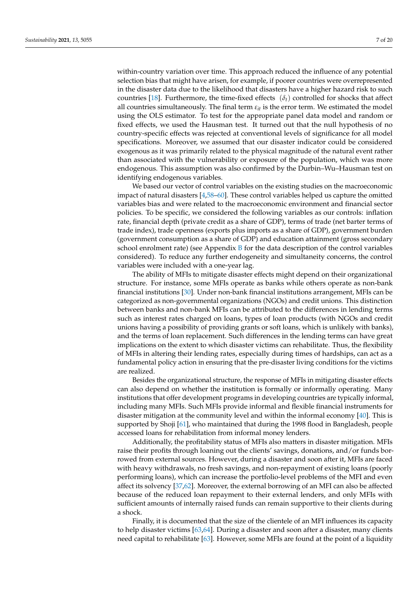within-country variation over time. This approach reduced the influence of any potential selection bias that might have arisen, for example, if poorer countries were overrepresented in the disaster data due to the likelihood that disasters have a higher hazard risk to such countries [\[18\]](#page-18-6). Furthermore, the time-fixed effects  $(\delta_t)$  controlled for shocks that affect all countries simultaneously. The final term  $\varepsilon_{it}$  is the error term. We estimated the model using the OLS estimator. To test for the appropriate panel data model and random or fixed effects, we used the Hausman test. It turned out that the null hypothesis of no country-specific effects was rejected at conventional levels of significance for all model specifications. Moreover, we assumed that our disaster indicator could be considered exogenous as it was primarily related to the physical magnitude of the natural event rather than associated with the vulnerability or exposure of the population, which was more endogenous. This assumption was also confirmed by the Durbin–Wu–Hausman test on identifying endogenous variables.

We based our vector of control variables on the existing studies on the macroeconomic impact of natural disasters [\[4](#page-17-3)[,58–](#page-19-11)[60\]](#page-19-12). These control variables helped us capture the omitted variables bias and were related to the macroeconomic environment and financial sector policies. To be specific, we considered the following variables as our controls: inflation rate, financial depth (private credit as a share of GDP), terms of trade (net barter terms of trade index), trade openness (exports plus imports as a share of GDP), government burden (government consumption as a share of GDP) and education attainment (gross secondary school enrolment rate) (see Appendix  $B$  for the data description of the control variables considered). To reduce any further endogeneity and simultaneity concerns, the control variables were included with a one-year lag.

The ability of MFIs to mitigate disaster effects might depend on their organizational structure. For instance, some MFIs operate as banks while others operate as non-bank financial institutions [\[30\]](#page-18-15). Under non-bank financial institutions arrangement, MFIs can be categorized as non-governmental organizations (NGOs) and credit unions. This distinction between banks and non-bank MFIs can be attributed to the differences in lending terms such as interest rates charged on loans, types of loan products (with NGOs and credit unions having a possibility of providing grants or soft loans, which is unlikely with banks), and the terms of loan replacement. Such differences in the lending terms can have great implications on the extent to which disaster victims can rehabilitate. Thus, the flexibility of MFIs in altering their lending rates, especially during times of hardships, can act as a fundamental policy action in ensuring that the pre-disaster living conditions for the victims are realized.

Besides the organizational structure, the response of MFIs in mitigating disaster effects can also depend on whether the institution is formally or informally operating. Many institutions that offer development programs in developing countries are typically informal, including many MFIs. Such MFIs provide informal and flexible financial instruments for disaster mitigation at the community level and within the informal economy [\[40\]](#page-18-25). This is supported by Shoji [\[61\]](#page-19-13), who maintained that during the 1998 flood in Bangladesh, people accessed loans for rehabilitation from informal money lenders.

Additionally, the profitability status of MFIs also matters in disaster mitigation. MFIs raise their profits through loaning out the clients' savings, donations, and/or funds borrowed from external sources. However, during a disaster and soon after it, MFIs are faced with heavy withdrawals, no fresh savings, and non-repayment of existing loans (poorly performing loans), which can increase the portfolio-level problems of the MFI and even affect its solvency [\[37](#page-18-21)[,62\]](#page-19-14). Moreover, the external borrowing of an MFI can also be affected because of the reduced loan repayment to their external lenders, and only MFIs with sufficient amounts of internally raised funds can remain supportive to their clients during a shock.

Finally, it is documented that the size of the clientele of an MFI influences its capacity to help disaster victims [\[63,](#page-19-15)[64\]](#page-19-16). During a disaster and soon after a disaster, many clients need capital to rehabilitate [\[63\]](#page-19-15). However, some MFIs are found at the point of a liquidity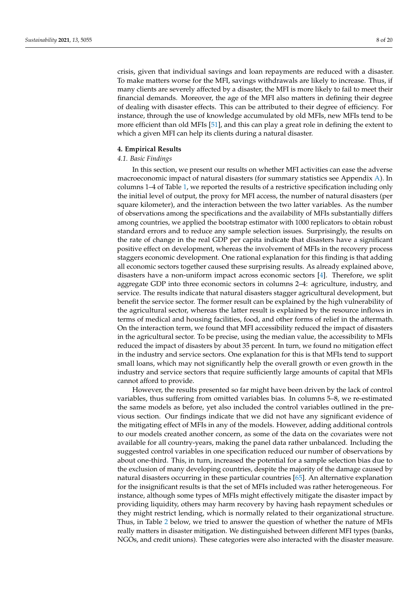crisis, given that individual savings and loan repayments are reduced with a disaster. To make matters worse for the MFI, savings withdrawals are likely to increase. Thus, if many clients are severely affected by a disaster, the MFI is more likely to fail to meet their financial demands. Moreover, the age of the MFI also matters in defining their degree of dealing with disaster effects. This can be attributed to their degree of efficiency. For instance, through the use of knowledge accumulated by old MFIs, new MFIs tend to be more efficient than old MFIs [\[51\]](#page-19-17), and this can play a great role in defining the extent to which a given MFI can help its clients during a natural disaster.

# <span id="page-7-0"></span>**4. Empirical Results**

## *4.1. Basic Findings*

In this section, we present our results on whether MFI activities can ease the adverse macroeconomic impact of natural disasters (for summary statistics see Appendix [A\)](#page-16-0). In columns 1–4 of Table [1,](#page-8-0) we reported the results of a restrictive specification including only the initial level of output, the proxy for MFI access, the number of natural disasters (per square kilometer), and the interaction between the two latter variables. As the number of observations among the specifications and the availability of MFIs substantially differs among countries, we applied the bootstrap estimator with 1000 replicators to obtain robust standard errors and to reduce any sample selection issues. Surprisingly, the results on the rate of change in the real GDP per capita indicate that disasters have a significant positive effect on development, whereas the involvement of MFIs in the recovery process staggers economic development. One rational explanation for this finding is that adding all economic sectors together caused these surprising results. As already explained above, disasters have a non-uniform impact across economic sectors [\[4\]](#page-17-3). Therefore, we split aggregate GDP into three economic sectors in columns 2–4: agriculture, industry, and service. The results indicate that natural disasters stagger agricultural development, but benefit the service sector. The former result can be explained by the high vulnerability of the agricultural sector, whereas the latter result is explained by the resource inflows in terms of medical and housing facilities, food, and other forms of relief in the aftermath. On the interaction term, we found that MFI accessibility reduced the impact of disasters in the agricultural sector. To be precise, using the median value, the accessibility to MFIs reduced the impact of disasters by about 35 percent. In turn, we found no mitigation effect in the industry and service sectors. One explanation for this is that MFIs tend to support small loans, which may not significantly help the overall growth or even growth in the industry and service sectors that require sufficiently large amounts of capital that MFIs cannot afford to provide.

However, the results presented so far might have been driven by the lack of control variables, thus suffering from omitted variables bias. In columns 5–8, we re-estimated the same models as before, yet also included the control variables outlined in the previous section. Our findings indicate that we did not have any significant evidence of the mitigating effect of MFIs in any of the models. However, adding additional controls to our models created another concern, as some of the data on the covariates were not available for all country-years, making the panel data rather unbalanced. Including the suggested control variables in one specification reduced our number of observations by about one-third. This, in turn, increased the potential for a sample selection bias due to the exclusion of many developing countries, despite the majority of the damage caused by natural disasters occurring in these particular countries [\[65\]](#page-19-18). An alternative explanation for the insignificant results is that the set of MFIs included was rather heterogeneous. For instance, although some types of MFIs might effectively mitigate the disaster impact by providing liquidity, others may harm recovery by having hash repayment schedules or they might restrict lending, which is normally related to their organizational structure. Thus, in Table [2](#page-8-1) below, we tried to answer the question of whether the nature of MFIs really matters in disaster mitigation. We distinguished between different MFI types (banks, NGOs, and credit unions). These categories were also interacted with the disaster measure.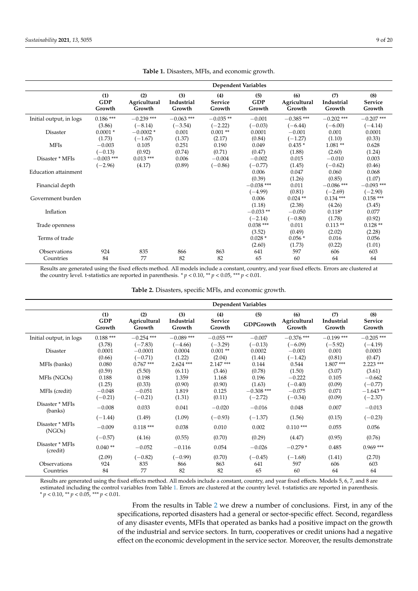<span id="page-8-0"></span>

|                         | <b>Dependent Variables</b>  |                               |                             |                          |                             |                               |                             |                                 |  |
|-------------------------|-----------------------------|-------------------------------|-----------------------------|--------------------------|-----------------------------|-------------------------------|-----------------------------|---------------------------------|--|
|                         | (1)<br><b>GDP</b><br>Growth | (2)<br>Agricultural<br>Growth | (3)<br>Industrial<br>Growth | (4)<br>Service<br>Growth | (5)<br><b>GDP</b><br>Growth | (6)<br>Agricultural<br>Growth | (7)<br>Industrial<br>Growth | (8)<br><b>Service</b><br>Growth |  |
| Initial output, in logs | $0.186***$                  | $-0.239$ ***                  | $-0.063$ ***                | $-0.035**$               | $-0.001$                    | $-0.385$ ***                  | $-0.202$ ***                | $-0.207$ ***                    |  |
|                         | (3.86)                      | $(-8.14)$                     | $(-3.54)$                   | $(-2.22)$                | $(-0.03)$                   | $(-6.44)$                     | $(-6.00)$                   | $(-4.14)$                       |  |
| Disaster                | $0.0001*$                   | $-0.0002*$                    | 0.001                       | $0.001**$                | 0.0001                      | $-0.001$                      | 0.001                       | 0.0001                          |  |
|                         | (1.73)                      | $(-1.67)$                     | (1.37)                      | (2.17)                   | (0.84)                      | $(-1.27)$                     | (1.10)                      | (0.33)                          |  |
| <b>MFIs</b>             | $-0.003$                    | 0.105                         | 0.251                       | 0.190                    | 0.049                       | $0.435*$                      | $1.081**$                   | 0.628                           |  |
|                         | $(-0.13)$                   | (0.92)                        | (0.74)                      | (0.71)                   | (0.47)                      | (1.88)                        | (2.60)                      | (1.24)                          |  |
| Disaster * MFIs         | $-0.003$ ***                | $0.013***$                    | 0.006                       | $-0.004$                 | $-0.002$                    | 0.015                         | $-0.010$                    | 0.003                           |  |
|                         | $(-2.96)$                   | (4.17)                        | (0.89)                      | $(-0.86)$                | $(-0.77)$                   | (1.45)                        | $(-0.62)$                   | (0.46)                          |  |
| Education attainment    |                             |                               |                             |                          | 0.006                       | 0.047                         | 0.060                       | 0.068                           |  |
|                         |                             |                               |                             |                          | (0.39)                      | (1.26)                        | (0.85)                      | (1.07)                          |  |
| Financial depth         |                             |                               |                             |                          | $-0.038$ ***                | 0.011                         | $-0.086$ ***                | $-0.093$ ***                    |  |
|                         |                             |                               |                             |                          | $(-4.99)$                   | (0.81)                        | $(-2.69)$                   | $(-2.90)$                       |  |
| Government burden       |                             |                               |                             |                          | 0.006                       | $0.024$ **                    | $0.134$ ***                 | $0.158***$                      |  |
|                         |                             |                               |                             |                          | (1.18)                      | (2.38)                        | (4.26)                      | (3.45)                          |  |
| Inflation               |                             |                               |                             |                          | $-0.033**$                  | $-0.050$                      | $0.118*$                    | 0.077                           |  |
|                         |                             |                               |                             |                          | $(-2.14)$                   | $(-0.80)$                     | (1.78)                      | (0.92)                          |  |
| Trade openness          |                             |                               |                             |                          | $0.038***$                  | 0.011                         | $0.113**$                   | $0.128**$                       |  |
|                         |                             |                               |                             |                          | (3.52)                      | (0.49)                        | (2.02)                      | (2.28)                          |  |
| Terms of trade          |                             |                               |                             |                          | $0.028*$                    | $0.056*$                      | 0.016                       | 0.056                           |  |
|                         |                             |                               |                             |                          | (2.60)                      | (1.73)                        | (0.22)                      | (1.01)                          |  |
| Observations            | 924                         | 835                           | 866                         | 863                      | 641                         | 597                           | 606                         | 603                             |  |
| Countries               | 84                          | 77                            | 82                          | 82                       | 65                          | 60                            | 64                          | 64                              |  |

|  | Table 1. Disasters, MFIs, and economic growth. |  |  |  |  |
|--|------------------------------------------------|--|--|--|--|
|--|------------------------------------------------|--|--|--|--|

Results are generated using the fixed effects method. All models include a constant, country, and year fixed effects. Errors are clustered at the country level. t-statistics are reported in parenthesis.  $* p < 0.10, ** p < 0.05, ** p < 0.01$ .

**Table 2.** Disasters, specific MFIs, and economic growth.

<span id="page-8-1"></span>

|                             |                             |                               |                             |                                 | <b>Dependent Variables</b> |                               |                             |                           |
|-----------------------------|-----------------------------|-------------------------------|-----------------------------|---------------------------------|----------------------------|-------------------------------|-----------------------------|---------------------------|
|                             | (1)<br><b>GDP</b><br>Growth | (2)<br>Agricultural<br>Growth | (3)<br>Industrial<br>Growth | (4)<br><b>Service</b><br>Growth | (5)<br><b>GDPGrowth</b>    | (6)<br>Agricultural<br>Growth | (7)<br>Industrial<br>Growth | (8)<br>Service<br>Growth  |
| Initial output, in logs     | $0.188***$<br>(3.78)        | $-0.254$ ***<br>$(-7.83)$     | $-0.089$ ***<br>$(-4.66)$   | $-0.055$ ***<br>$(-3.29)$       | $-0.007$<br>$(-0.13)$      | $-0.376$ ***<br>$(-6.09)$     | $-0.199$ ***<br>$(-5.92)$   | $-0.205$ ***<br>$(-4.19)$ |
| Disaster                    | 0.0001<br>(0.66)            | $-0.0001$<br>$(-0.71)$        | 0.0004<br>(1.22)            | $0.001**$<br>(2.04)             | 0.0002<br>(1.44)           | $-0.001$<br>$(-1.42)$         | 0.001<br>(0.81)             | 0.0003<br>(0.47)          |
| MFIs (banks)                | 0.080<br>(0.59)             | $0.767***$<br>(5.50)          | $2.624$ ***<br>(6.11)       | $2.147***$<br>(3.46)            | 0.144<br>(0.78)            | 0.544<br>(1.50)               | $1.807***$<br>(3.07)        | $2.223$ ***<br>(3.61)     |
| MFIs (NGOs)                 | 0.188<br>(1.25)             | 0.198<br>(0.33)               | 1.359<br>(0.90)             | 1.168<br>(0.90)                 | 0.196<br>(1.63)            | $-0.222$<br>$(-0.40)$         | 0.105<br>(0.09)             | $-0.662$<br>$(-0.77)$     |
| MFIs (credit)               | $-0.048$<br>$(-0.21)$       | $-0.051$<br>$(-0.21)$         | 1.819<br>(1.31)             | 0.125<br>(0.11)                 | $-0.308$ ***<br>$(-2.72)$  | $-0.075$<br>$(-0.34)$         | 0.071<br>(0.09)             | $-1.643**$<br>$(-2.37)$   |
| Disaster * MFIs<br>(banks)  | $-0.008$                    | 0.033                         | 0.041                       | $-0.020$                        | $-0.016$                   | 0.048                         | 0.007                       | $-0.013$                  |
|                             | $(-1.44)$                   | (1.49)                        | (1.09)                      | $(-0.93)$                       | $(-1.37)$                  | (1.56)                        | (0.15)                      | $(-0.23)$                 |
| Disaster * MFIs<br>(NGOs)   | $-0.009$                    | $0.118***$                    | 0.038                       | 0.010                           | 0.002                      | $0.110***$                    | 0.055                       | 0.056                     |
|                             | $(-0.57)$                   | (4.16)                        | (0.55)                      | (0.70)                          | (0.29)                     | (4.47)                        | (0.95)                      | (0.76)                    |
| Disaster * MFIs<br>(credit) | $0.040**$                   | $-0.052$                      | $-0.116$                    | 0.054                           | $-0.026$                   | $-0.279*$                     | 0.485                       | $0.969***$                |
| Observations<br>Countries   | (2.09)<br>924<br>84         | $(-0.82)$<br>835<br>77        | $(-0.99)$<br>866<br>82      | (0.70)<br>863<br>82             | $(-0.45)$<br>641<br>65     | $(-1.68)$<br>597<br>60        | (1.41)<br>606<br>64         | (2.70)<br>603<br>64       |

Results are generated using the fixed effects method. All models include a constant, country, and year fixed effects. Models 5, 6, 7, and 8 are estimated including the control variables from Table [1.](#page-8-0) Errors are clustered at the country level. t-statistics are reported in parenthesis. *\* p* < 0.10, *\*\* p* < 0.05, *\*\*\* p* < 0.01.

> From the results in Table [2](#page-8-1) we drew a number of conclusions. First, in any of the specifications, reported disasters had a general or sector-specific effect. Second, regardless of any disaster events, MFIs that operated as banks had a positive impact on the growth of the industrial and service sectors. In turn, cooperatives or credit unions had a negative effect on the economic development in the service sector. Moreover, the results demonstrate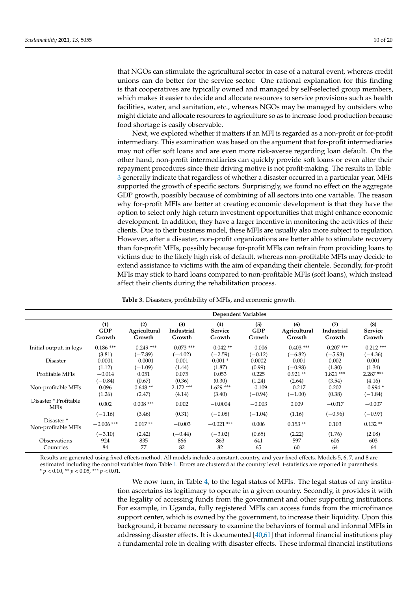that NGOs can stimulate the agricultural sector in case of a natural event, whereas credit unions can do better for the service sector. One rational explanation for this finding is that cooperatives are typically owned and managed by self-selected group members, which makes it easier to decide and allocate resources to service provisions such as health facilities, water, and sanitation, etc., whereas NGOs may be managed by outsiders who might dictate and allocate resources to agriculture so as to increase food production because food shortage is easily observable.

Next, we explored whether it matters if an MFI is regarded as a non-profit or for-profit intermediary. This examination was based on the argument that for-profit intermediaries may not offer soft loans and are even more risk-averse regarding loan default. On the other hand, non-profit intermediaries can quickly provide soft loans or even alter their repayment procedures since their driving motive is not profit-making. The results in Table [3](#page-9-0) generally indicate that regardless of whether a disaster occurred in a particular year, MFIs supported the growth of specific sectors. Surprisingly, we found no effect on the aggregate GDP growth, possibly because of combining of all sectors into one variable. The reason why for-profit MFIs are better at creating economic development is that they have the option to select only high-return investment opportunities that might enhance economic development. In addition, they have a larger incentive in monitoring the activities of their clients. Due to their business model, these MFIs are usually also more subject to regulation. However, after a disaster, non-profit organizations are better able to stimulate recovery than for-profit MFIs, possibly because for-profit MFIs can refrain from providing loans to victims due to the likely high risk of default, whereas non-profitable MFIs may decide to extend assistance to victims with the aim of expanding their clientele. Secondly, for-profit MFIs may stick to hard loans compared to non-profitable MFIs (soft loans), which instead affect their clients during the rehabilitation process.

| Table 3. Disasters, profitability of MFIs, and economic growth. |  |  |  |  |
|-----------------------------------------------------------------|--|--|--|--|
|-----------------------------------------------------------------|--|--|--|--|

<span id="page-9-0"></span>

|                                              | <b>Dependent Variables</b>  |                               |                             |                                 |                      |                               |                             |                          |  |
|----------------------------------------------|-----------------------------|-------------------------------|-----------------------------|---------------------------------|----------------------|-------------------------------|-----------------------------|--------------------------|--|
|                                              | (1)<br><b>GDP</b><br>Growth | (2)<br>Agricultural<br>Growth | (3)<br>Industrial<br>Growth | (4)<br><b>Service</b><br>Growth | (5)<br>GDP<br>Growth | (6)<br>Agricultural<br>Growth | (7)<br>Industrial<br>Growth | (8)<br>Service<br>Growth |  |
| Initial output, in logs                      | $0.186***$                  | $-0.249$ ***                  | $-0.073$ ***                | $-0.042**$                      | $-0.006$             | $-0.403$ ***                  | $-0.207$ ***                | $-0.212$ ***             |  |
|                                              | (3.81)                      | $(-7.89)$                     | $(-4.02)$                   | $(-2.59)$                       | $(-0.12)$            | $(-6.82)$                     | $(-5.93)$                   | $(-4.36)$                |  |
| Disaster                                     | 0.0001                      | $-0.0001$                     | 0.001                       | $0.001*$                        | 0.0002               | $-0.001$                      | 0.002                       | 0.001                    |  |
|                                              | (1.12)                      | $(-1.09)$                     | (1.44)                      | (1.87)                          | (0.99)               | $(-0.98)$                     | (1.30)                      | (1.34)                   |  |
| Profitable MFIs                              | $-0.014$                    | 0.051                         | 0.075                       | 0.053                           | 0.225                | $0.921**$                     | $1.821***$                  | $2.287***$               |  |
|                                              | $(-0.84)$                   | (0.67)                        | (0.36)                      | (0.30)                          | (1.24)               | (2.64)                        | (3.54)                      | (4.16)                   |  |
| Non-profitable MFIs                          | 0.096                       | $0.648**$                     | $2.172$ ***                 | $1.629***$                      | $-0.109$             | $-0.217$                      | 0.202                       | $-0.994*$                |  |
|                                              | (1.26)                      | (2.47)                        | (4.14)                      | (3.40)                          | $(-0.94)$            | $(-1.00)$                     | (0.38)                      | $(-1.84)$                |  |
| Disaster * Profitable<br><b>MFIs</b>         | 0.002                       | $0.008***$                    | 0.002                       | $-0.0004$                       | $-0.003$             | 0.009                         | $-0.017$                    | $-0.007$                 |  |
|                                              | $(-1.16)$                   | (3.46)                        | (0.31)                      | $(-0.08)$                       | $(-1.04)$            | (1.16)                        | $(-0.96)$                   | $(-0.97)$                |  |
| Disaster <sup>*</sup><br>Non-profitable MFIs | $-0.006$ ***                | $0.017**$                     | $-0.003$                    | $-0.021$ ***                    | 0.006                | $0.153**$                     | 0.103                       | $0.132**$                |  |
|                                              | $(-3.10)$                   | (2.42)                        | $(-0.44)$                   | $(-3.02)$                       | (0.65)               | (2.22)                        | (1.76)                      | (2.08)                   |  |
| Observations                                 | 924                         | 835                           | 866                         | 863                             | 641                  | 597                           | 606                         | 603                      |  |
| Countries                                    | 84                          | 77                            | 82                          | 82                              | 65                   | 60                            | 64                          | 64                       |  |

Results are generated using fixed effects method. All models include a constant, country, and year fixed effects. Models 5, 6, 7, and 8 are estimated including the control variables from Table [1.](#page-8-0) Errors are clustered at the country level. t-statistics are reported in parenthesis. *\* p* < 0.10, *\*\* p* < 0.05, *\*\*\* p* < 0.01.

> We now turn, in Table [4,](#page-10-0) to the legal status of MFIs. The legal status of any institution ascertains its legitimacy to operate in a given country. Secondly, it provides it with the legality of accessing funds from the government and other supporting institutions. For example, in Uganda, fully registered MFIs can access funds from the microfinance support center, which is owned by the government, to increase their liquidity. Upon this background, it became necessary to examine the behaviors of formal and informal MFIs in addressing disaster effects. It is documented [\[40](#page-18-25)[,61\]](#page-19-13) that informal financial institutions play a fundamental role in dealing with disaster effects. These informal financial institutions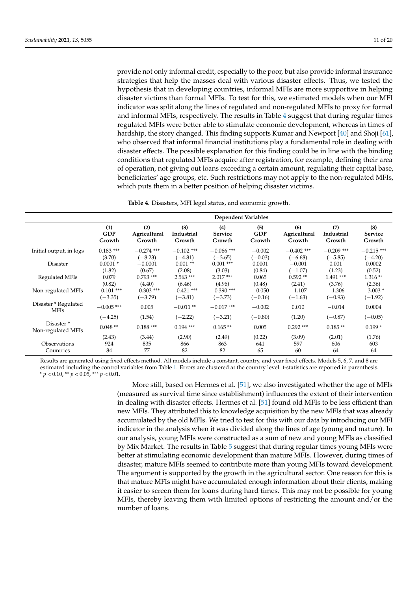provide not only informal credit, especially to the poor, but also provide informal insurance strategies that help the masses deal with various disaster effects. Thus, we tested the hypothesis that in developing countries, informal MFIs are more supportive in helping disaster victims than formal MFIs. To test for this, we estimated models when our MFI indicator was split along the lines of regulated and non-regulated MFIs to proxy for formal and informal MFIs, respectively. The results in Table [4](#page-10-0) suggest that during regular times regulated MFIs were better able to stimulate economic development, whereas in times of hardship, the story changed. This finding supports Kumar and Newport [\[40\]](#page-18-25) and Shoji [\[61\]](#page-19-13), who observed that informal financial institutions play a fundamental role in dealing with disaster effects. The possible explanation for this finding could be in line with the binding conditions that regulated MFIs acquire after registration, for example, defining their area of operation, not giving out loans exceeding a certain amount, regulating their capital base, beneficiaries' age groups, etc. Such restrictions may not apply to the non-regulated MFIs, which puts them in a better position of helping disaster victims.

**Table 4.** Disasters, MFI legal status, and economic growth.

<span id="page-10-0"></span>

|                                             | <b>Dependent Variables</b> |              |              |              |            |              |              |              |  |
|---------------------------------------------|----------------------------|--------------|--------------|--------------|------------|--------------|--------------|--------------|--|
|                                             | (1)                        | (2)          | (3)          | (4)          | (5)        | (6)          | (7)          | (8)          |  |
|                                             | <b>GDP</b>                 | Agricultural | Industrial   | Service      | <b>GDP</b> | Agricultural | Industrial   | Service      |  |
|                                             | Growth                     | Growth       | Growth       | Growth       | Growth     | Growth       | Growth       | Growth       |  |
| Initial output, in logs                     | $0.183***$                 | $-0.274$ *** | $-0.102$ *** | $-0.066$ *** | $-0.002$   | $-0.402$ *** | $-0.209$ *** | $-0.215$ *** |  |
|                                             | (3.70)                     | $(-8.23)$    | $(-4.81)$    | $(-3.65)$    | $(-0.03)$  | $(-6.68)$    | $(-5.85)$    | $(-4.20)$    |  |
| Disaster                                    | $0.0001*$                  | $-0.0001$    | $0.001**$    | $0.001$ ***  | 0.0001     | $-0.001$     | 0.001        | 0.0002       |  |
|                                             | (1.82)                     | (0.67)       | (2.08)       | (3.03)       | (0.84)     | $(-1.07)$    | (1.23)       | (0.52)       |  |
| Regulated MFIs                              | 0.079                      | $0.793$ ***  | $2.563$ ***  | $2.017***$   | 0.065      | $0.592**$    | $1.491***$   | $1.316**$    |  |
|                                             | (0.82)                     | (4.40)       | (6.46)       | (4.96)       | (0.48)     | (2.41)       | (3.76)       | (2.36)       |  |
| Non-regulated MFIs                          | $-0.101$ ***               | $-0.303$ *** | $-0.421$ *** | $-0.390$ *** | $-0.050$   | $-1.107$     | $-1.306$     | $-3.003*$    |  |
|                                             | $(-3.35)$                  | $(-3.79)$    | $(-3.81)$    | $(-3.73)$    | $(-0.16)$  | $(-1.63)$    | $(-0.93)$    | $(-1.92)$    |  |
| Disaster * Regulated<br><b>MFIs</b>         | $-0.005$ ***               | 0.005        | $-0.011**$   | $-0.017$ *** | $-0.002$   | 0.010        | $-0.014$     | 0.0004       |  |
|                                             | $(-4.25)$                  | (1.54)       | $(-2.22)$    | $(-3.21)$    | $(-0.80)$  | (1.20)       | $(-0.87)$    | $(-0.05)$    |  |
| Disaster <sup>*</sup><br>Non-regulated MFIs | $0.048**$                  | $0.188***$   | $0.194$ ***  | $0.165**$    | 0.005      | $0.292$ ***  | $0.185**$    | $0.199*$     |  |
|                                             | (2.43)                     | (3.44)       | (2.90)       | (2.49)       | (0.22)     | (3.09)       | (2.01)       | (1.76)       |  |
| Observations                                | 924                        | 835          | 866          | 863          | 641        | 597          | 606          | 603          |  |
| Countries                                   | 84                         | 77           | 82           | 82           | 65         | 60           | 64           | 64           |  |

Results are generated using fixed effects method. All models include a constant, country, and year fixed effects. Models 5, 6, 7, and 8 are estimated including the control variables from Table [1.](#page-8-0) Errors are clustered at the country level. t-statistics are reported in parenthesis. *\* p* < 0.10, *\*\* p* < 0.05, *\*\*\* p* < 0.01.

> More still, based on Hermes et al. [\[51\]](#page-19-17), we also investigated whether the age of MFIs (measured as survival time since establishment) influences the extent of their intervention in dealing with disaster effects. Hermes et al. [\[51\]](#page-19-17) found old MFIs to be less efficient than new MFIs. They attributed this to knowledge acquisition by the new MFIs that was already accumulated by the old MFIs. We tried to test for this with our data by introducing our MFI indicator in the analysis when it was divided along the lines of age (young and mature). In our analysis, young MFIs were constructed as a sum of new and young MFIs as classified by Mix Market. The results in Table [5](#page-11-0) suggest that during regular times young MFIs were better at stimulating economic development than mature MFIs. However, during times of disaster, mature MFIs seemed to contribute more than young MFIs toward development. The argument is supported by the growth in the agricultural sector. One reason for this is that mature MFIs might have accumulated enough information about their clients, making it easier to screen them for loans during hard times. This may not be possible for young MFIs, thereby leaving them with limited options of restricting the amount and/or the number of loans.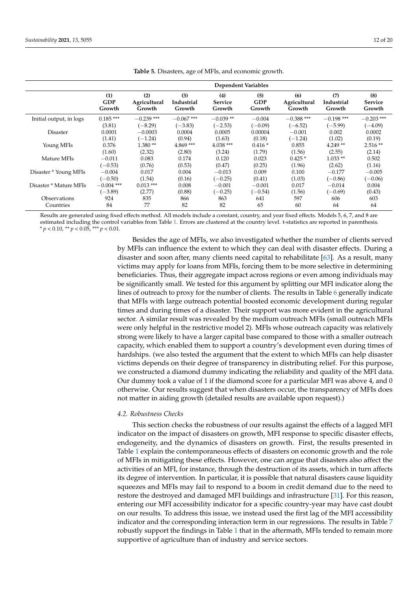<span id="page-11-0"></span>

|                         | <b>Dependent Variables</b>  |                               |                             |                                 |                             |                               |                             |                                 |  |
|-------------------------|-----------------------------|-------------------------------|-----------------------------|---------------------------------|-----------------------------|-------------------------------|-----------------------------|---------------------------------|--|
|                         | (1)<br><b>GDP</b><br>Growth | (2)<br>Agricultural<br>Growth | (3)<br>Industrial<br>Growth | (4)<br><b>Service</b><br>Growth | (5)<br><b>GDP</b><br>Growth | (6)<br>Agricultural<br>Growth | (7)<br>Industrial<br>Growth | (8)<br><b>Service</b><br>Growth |  |
| Initial output, in logs | $0.185***$                  | $-0.239$ ***                  | $-0.067$ ***                | $-0.039**$                      | $-0.004$                    | $-0.388$ ***                  | $-0.198$ ***                | $-0.203$ ***                    |  |
|                         | (3.81)                      | $(-8.29)$                     | $(-3.83)$                   | $(-2.53)$                       | $(-0.09)$                   | $(-6.52)$                     | $(-5.99)$                   | $(-4.09)$                       |  |
| <b>Disaster</b>         | 0.0001                      | $-0.0003$                     | 0.0004                      | 0.0005                          | 0.00004                     | $-0.001$                      | 0.002                       | 0.0002                          |  |
|                         | (1.41)                      | $(-1.24)$                     | (0.94)                      | (1.63)                          | (0.18)                      | $(-1.24)$                     | (1.02)                      | (0.19)                          |  |
| Young MFIs              | 0.376                       | $1.380**$                     | $4.869***$                  | $4.038***$                      | $0.416*$                    | 0.855                         | $4.249**$                   | $2.516**$                       |  |
|                         | (1.60)                      | (2.32)                        | (2.80)                      | (3.24)                          | (1.79)                      | (1.56)                        | (2.55)                      | (2.14)                          |  |
| Mature MFIs             | $-0.011$                    | 0.083                         | 0.174                       | 0.120                           | 0.023                       | $0.425*$                      | $1.033**$                   | 0.502                           |  |
|                         | $(-0.53)$                   | (0.76)                        | (0.53)                      | (0.47)                          | (0.25)                      | (1.96)                        | (2.62)                      | (1.16)                          |  |
| Disaster * Young MFIs   | $-0.004$                    | 0.017                         | 0.004                       | $-0.013$                        | 0.009                       | 0.100                         | $-0.177$                    | $-0.005$                        |  |
|                         | $(-0.50)$                   | (1.54)                        | (0.16)                      | $(-0.25)$                       | (0.41)                      | (1.03)                        | $(-0.86)$                   | $(-0.06)$                       |  |
| Disaster * Mature MFIs  | $-0.004$ ***                | $0.013$ ***                   | 0.008                       | $-0.001$                        | $-0.001$                    | 0.017                         | $-0.014$                    | 0.004                           |  |
|                         | $(-3.89)$                   | (2.77)                        | (0.88)                      | $(-0.25)$                       | $(-0.54)$                   | (1.56)                        | $(-0.69)$                   | (0.43)                          |  |
| Observations            | 924                         | 835                           | 866                         | 863                             | 641                         | 597                           | 606                         | 603                             |  |
| Countries               | 84                          | 77                            | 82                          | 82                              | 65                          | 60                            | 64                          | 64                              |  |

**Table 5.** Disasters, age of MFIs, and economic growth.

Results are generated using fixed effects method. All models include a constant, country, and year fixed effects. Models 5, 6, 7, and 8 are estimated including the control variables from Table [1.](#page-8-0) Errors are clustered at the country level. t-statistics are reported in parenthesis. *\* p* < 0.10, *\*\* p* < 0.05, *\*\*\* p* < 0.01.

> Besides the age of MFIs, we also investigated whether the number of clients served by MFIs can influence the extent to which they can deal with disaster effects. During a disaster and soon after, many clients need capital to rehabilitate [\[63\]](#page-19-15). As a result, many victims may apply for loans from MFIs, forcing them to be more selective in determining beneficiaries. Thus, their aggregate impact across regions or even among individuals may be significantly small. We tested for this argument by splitting our MFI indicator along the lines of outreach to proxy for the number of clients. The results in Table [6](#page-12-0) generally indicate that MFIs with large outreach potential boosted economic development during regular times and during times of a disaster. Their support was more evident in the agricultural sector. A similar result was revealed by the medium outreach MFIs (small outreach MFIs were only helpful in the restrictive model 2). MFIs whose outreach capacity was relatively strong were likely to have a larger capital base compared to those with a smaller outreach capacity, which enabled them to support a country's development even during times of hardships. (we also tested the argument that the extent to which MFIs can help disaster victims depends on their degree of transparency in distributing relief. For this purpose, we constructed a diamond dummy indicating the reliability and quality of the MFI data. Our dummy took a value of 1 if the diamond score for a particular MFI was above 4, and 0 otherwise. Our results suggest that when disasters occur, the transparency of MFIs does not matter in aiding growth (detailed results are available upon request).)

## *4.2. Robustness Checks*

This section checks the robustness of our results against the effects of a lagged MFI indicator on the impact of disasters on growth, MFI response to specific disaster effects, endogeneity, and the dynamics of disasters on growth. First, the results presented in Table [1](#page-8-0) explain the contemporaneous effects of disasters on economic growth and the role of MFIs in mitigating these effects. However, one can argue that disasters also affect the activities of an MFI, for instance, through the destruction of its assets, which in turn affects its degree of intervention. In particular, it is possible that natural disasters cause liquidity squeezes and MFIs may fail to respond to a boom in credit demand due to the need to restore the destroyed and damaged MFI buildings and infrastructure [\[31\]](#page-18-16). For this reason, entering our MFI accessibility indicator for a specific country-year may have cast doubt on our results. To address this issue, we instead used the first lag of the MFI accessibility indicator and the corresponding interaction term in our regressions. The results in Table [7](#page-12-1) robustly support the findings in Table [1](#page-8-0) that in the aftermath, MFIs tended to remain more supportive of agriculture than of industry and service sectors.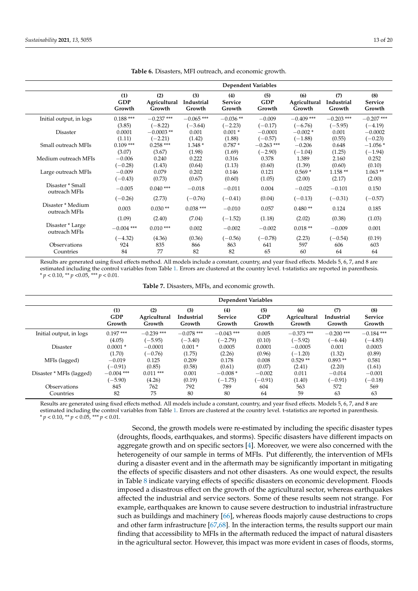<span id="page-12-0"></span>

|                                    |                             |                               |                             | <b>Dependent Variables</b> |                             |                               |                             |                          |
|------------------------------------|-----------------------------|-------------------------------|-----------------------------|----------------------------|-----------------------------|-------------------------------|-----------------------------|--------------------------|
|                                    | (1)<br><b>GDP</b><br>Growth | (2)<br>Agricultural<br>Growth | (3)<br>Industrial<br>Growth | (4)<br>Service<br>Growth   | (5)<br><b>GDP</b><br>Growth | (6)<br>Agricultural<br>Growth | (7)<br>Industrial<br>Growth | (8)<br>Service<br>Growth |
| Initial output, in logs            | $0.188***$                  | $-0.237$ ***                  | $-0.065$ ***                | $-0.036**$                 | $-0.009$                    | $-0.409$ ***                  | $-0.203$ ***                | $-0.207$ ***             |
|                                    | (3.85)                      | $(-8.22)$                     | $(-3.64)$                   | $(-2.23)$                  | $(-0.17)$                   | $(-6.76)$                     | $(-5.95)$                   | $(-4.19)$                |
| <b>Disaster</b>                    | 0.0001                      | $-0.0003$ **                  | 0.001                       | $0.001*$                   | $-0.0001$                   | $-0.002*$                     | 0.001                       | $-0.0002$                |
|                                    | (1.11)                      | $(-2.21)$                     | (1.42)                      | (1.88)                     | $(-0.57)$                   | $(-1.88)$                     | (0.55)                      | $(-0.23)$                |
| Small outreach MFIs                | $0.109$ ***                 | $0.258***$                    | $1.348*$                    | $0.787*$                   | $-0.263$ ***                | $-0.206$                      | 0.648                       | $-1.056*$                |
|                                    | (3.07)                      | (3.67)                        | (1.98)                      | (1.69)                     | $(-2.90)$                   | $(-1.04)$                     | (1.25)                      | $(-1.94)$                |
| Medium outreach MFIs               | $-0.006$                    | 0.240                         | 0.222                       | 0.316                      | 0.378                       | 1.389                         | 2.160                       | 0.252                    |
|                                    | $(-0.28)$                   | (1.43)                        | (0.64)                      | (1.13)                     | (0.60)                      | (1.39)                        | (0.60)                      | (0.10)                   |
| Large outreach MFIs                | $-0.009$                    | 0.079                         | 0.202                       | 0.146                      | 0.121                       | $0.569*$                      | $1.158**$                   | $1.063**$                |
|                                    | $(-0.43)$                   | (0.73)                        | (0.67)                      | (0.60)                     | (1.05)                      | (2.00)                        | (2.17)                      | (2.00)                   |
| Disaster * Small<br>outreach MFIs  | $-0.005$                    | $0.040$ ***                   | $-0.018$                    | $-0.011$                   | 0.004                       | $-0.025$                      | $-0.101$                    | 0.150                    |
|                                    | $(-0.26)$                   | (2.73)                        | $(-0.76)$                   | $(-0.41)$                  | (0.04)                      | $(-0.13)$                     | $(-0.31)$                   | $(-0.57)$                |
| Disaster * Medium<br>outreach MFIs | 0.003                       | $0.030**$                     | $0.038***$                  | $-0.010$                   | 0.057                       | $0.480**$                     | 0.124                       | 0.185                    |
|                                    | (1.09)                      | (2.40)                        | (7.04)                      | $(-1.52)$                  | (1.18)                      | (2.02)                        | (0.38)                      | (1.03)                   |
| Disaster * Large<br>outreach MFIs  | $-0.004$ ***                | $0.010***$                    | 0.002                       | $-0.002$                   | $-0.002$                    | $0.018**$                     | $-0.009$                    | 0.001                    |
|                                    | $(-4.32)$                   | (4.36)                        | (0.36)                      | $(-0.56)$                  | $(-0.78)$                   | (2.23)                        | $(-0.54)$                   | (0.19)                   |
| Observations                       | 924                         | 835                           | 866                         | 863                        | 641                         | 597                           | 606                         | 603                      |
| Countries                          | 84                          | 77                            | 82                          | 82                         | 65                          | 60                            | 64                          | 64                       |

**Table 6.** Disasters, MFI outreach, and economic growth.

Results are generated using fixed effects method. All models include a constant, country, and year fixed effects. Models 5, 6, 7, and 8 are estimated including the control variables from Table [1.](#page-8-0) Errors are clustered at the country level. t-statistics are reported in parenthesis. *\* p* < 0.10, *\*\* p* <0.05, *\*\*\* p* < 0.01.

|  | Table 7. Disasters, MFIs, and economic growth. |  |  |  |  |
|--|------------------------------------------------|--|--|--|--|
|--|------------------------------------------------|--|--|--|--|

<span id="page-12-1"></span>

|                          | Dependent Variables |              |              |                |            |              |              |                |  |
|--------------------------|---------------------|--------------|--------------|----------------|------------|--------------|--------------|----------------|--|
|                          | (1)                 | (2)          | (3)          | (4)            | (5)        | (6)          | (7)          | (8)            |  |
|                          | <b>GDP</b>          | Agricultural | Industrial   | <b>Service</b> | <b>GDP</b> | Agricultural | Industrial   | <b>Service</b> |  |
|                          | Growth              | Growth       | Growth       | Growth         | Growth     | Growth       | Growth       | Growth         |  |
| Initial output, in logs  | $0.197***$          | $-0.239$ *** | $-0.078$ *** | $-0.043$ ***   | 0.005      | $-0.373$ *** | $-0.200$ *** | $-0.184$ ***   |  |
|                          | (4.05)              | $(-5.95)$    | $(-3.40)$    | $(-2.79)$      | (0.10)     | $(-5.92)$    | $(-6.44)$    | $(-4.85)$      |  |
| <b>Disaster</b>          | $0.0001*$           | $-0.0001$    | $0.001*$     | 0.0005         | 0.0001     | $-0.0005$    | 0.001        | 0.0003         |  |
|                          | (1.70)              | $(-0.76)$    | (1.75)       | (2.26)         | (0.96)     | $(-1.20)$    | (1.32)       | (0.89)         |  |
| MFIs (lagged)            | $-0.019$            | 0.125        | 0.209        | 0.178          | 0.008      | $0.529**$    | $0.893**$    | 0.581          |  |
|                          | $(-0.91)$           | (0.85)       | (0.58)       | (0.61)         | (0.07)     | (2.41)       | (2.20)       | (1.61)         |  |
| Disaster * MFIs (lagged) | $-0.004$ ***        | $0.011***$   | 0.001        | $-0.008*$      | $-0.002$   | 0.011        | $-0.014$     | $-0.001$       |  |
|                          | $(-5.90)$           | (4.26)       | (0.19)       | $(-1.75)$      | $(-0.91)$  | (1.40)       | $(-0.91)$    | $(-0.18)$      |  |
| <b>Observations</b>      | 845                 | 762          | 792          | 789            | 604        | 563          | 572          | 569            |  |
| Countries                | 82                  | 75           | 80           | 80             | 64         | 59           | 63           | 63             |  |

Results are generated using fixed effects method. All models include a constant, country, and year fixed effects. Models 5, 6, 7, and 8 are estimated including the control variables from Table [1.](#page-8-0) Errors are clustered at the country level. t-statistics are reported in parenthesis. *\* p* < 0.10, *\*\* p* < 0.05, *\*\*\* p* < 0.01.

> Second, the growth models were re-estimated by including the specific disaster types (droughts, floods, earthquakes, and storms). Specific disasters have different impacts on aggregate growth and on specific sectors [\[4\]](#page-17-3). Moreover, we were also concerned with the heterogeneity of our sample in terms of MFIs. Put differently, the intervention of MFIs during a disaster event and in the aftermath may be significantly important in mitigating the effects of specific disasters and not other disasters. As one would expect, the results in Table [8](#page-13-0) indicate varying effects of specific disasters on economic development. Floods imposed a disastrous effect on the growth of the agricultural sector, whereas earthquakes affected the industrial and service sectors. Some of these results seem not strange. For example, earthquakes are known to cause severe destruction to industrial infrastructure such as buildings and machinery [\[66\]](#page-19-19), whereas floods majorly cause destructions to crops and other farm infrastructure [\[67](#page-19-20)[,68\]](#page-19-21). In the interaction terms, the results support our main finding that accessibility to MFIs in the aftermath reduced the impact of natural disasters in the agricultural sector. However, this impact was more evident in cases of floods, storms,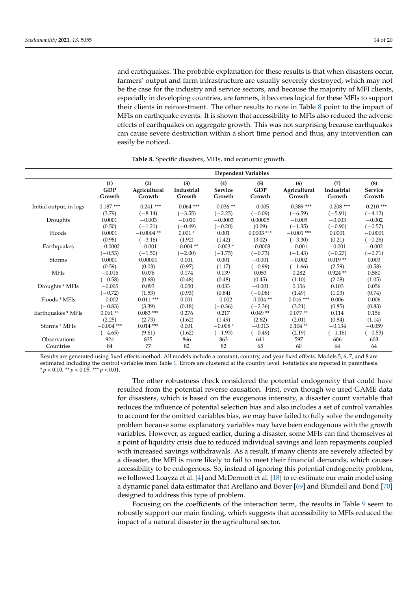and earthquakes. The probable explanation for these results is that when disasters occur, farmers' output and farm infrastructure are usually severely destroyed, which may not be the case for the industry and service sectors, and because the majority of MFI clients, especially in developing countries, are farmers, it becomes logical for these MFIs to support their clients in reinvestment. The other results to note in Table [8](#page-13-0) point to the impact of MFIs on earthquake events. It is shown that accessibility to MFIs also reduced the adverse effects of earthquakes on aggregate growth. This was not surprising because earthquakes can cause severe destruction within a short time period and thus, any intervention can easily be noticed.

<span id="page-13-0"></span>

|                         |                             | <b>Dependent Variables</b>    |                             |                          |                             |                               |                             |                          |  |  |  |
|-------------------------|-----------------------------|-------------------------------|-----------------------------|--------------------------|-----------------------------|-------------------------------|-----------------------------|--------------------------|--|--|--|
|                         | (1)<br><b>GDP</b><br>Growth | (2)<br>Agricultural<br>Growth | (3)<br>Industrial<br>Growth | (4)<br>Service<br>Growth | (5)<br><b>GDP</b><br>Growth | (6)<br>Agricultural<br>Growth | (7)<br>Industrial<br>Growth | (8)<br>Service<br>Growth |  |  |  |
| Initial output, in logs | $0.187***$                  | $-0.241$ ***                  | $-0.064$ ***                | $-0.036**$               | $-0.005$                    | $-0.389$ ***                  | $-0.208$ ***                | $-0.210$ ***             |  |  |  |
|                         | (3.79)                      | $(-8.14)$                     | $(-3.55)$                   | $(-2.25)$                | $(-0.09)$                   | $(-6.59)$                     | $(-5.91)$                   | $(-4.12)$                |  |  |  |
| Droughts                | 0.0001                      | $-0.003$                      | $-0.010$                    | $-0.0003$                | 0.00005                     | $-0.005$                      | $-0.003$                    | $-0.002$                 |  |  |  |
|                         | (0.50)                      | $(-1.21)$                     | $(-0.49)$                   | $(-0.20)$                | (0.09)                      | $(-1.35)$                     | $(-0.90)$                   | $(-0.57)$                |  |  |  |
| Floods                  | 0.0001                      | $-0.0004$ **                  | $0.001*$                    | 0.001                    | $0.0003$ ***                | $-0.001$ ***                  | 0.0001                      | $-0.0001$                |  |  |  |
|                         | (0.98)                      | $(-3.16)$                     | (1.92)                      | (1.42)                   | (3.02)                      | $(-3.30)$                     | (0.21)                      | $(-0.26)$                |  |  |  |
| Earthquakes             | $-0.0002$                   | $-0.001$                      | $-0.004$ **                 | $-0.003*$                | $-0.0003$                   | $-0.001$                      | $-0.001$                    | $-0.002$                 |  |  |  |
|                         | $(-0.53)$                   | $(-1.50)$                     | $(-2.00)$                   | $(-1.75)$                | $(-0.73)$                   | $(-1.43)$                     | $(-0.27)$                   | $(-0.71)$                |  |  |  |
| Storms                  | 0.0001                      | 0.00001                       | 0.001                       | 0.001                    | $-0.001$                    | $-0.002$                      | $0.019**$                   | 0.003                    |  |  |  |
|                         | (0.59)                      | (0.03)                        | (0.97)                      | (1.17)                   | $(-0.99)$                   | $(-1.66)$                     | (2.59)                      | (0.58)                   |  |  |  |
| <b>MFIs</b>             | $-0.016$                    | 0.076                         | 0.174                       | 0.139                    | 0.053                       | 0.282                         | $0.924**$                   | 0.580                    |  |  |  |
|                         | $(-0.58)$                   | (0.68)                        | (0.48)                      | (0.48)                   | (0.45)                      | (1.10)                        | (2.08)                      | (1.05)                   |  |  |  |
| Droughts * MFIs         | $-0.005$                    | 0.093                         | 0.050                       | 0.033                    | $-0.001$                    | 0.156                         | 0.103                       | 0.056                    |  |  |  |
|                         | $(-0.72)$                   | (1.53)                        | (0.93)                      | (0.84)                   | $(-0.08)$                   | (1.49)                        | (1.03)                      | (0.74)                   |  |  |  |
| Floods * MFIs           | $-0.002$                    | $0.011***$                    | 0.001                       | $-0.002$                 | $-0.004$ **                 | $0.016***$                    | 0.006                       | 0.006                    |  |  |  |
|                         | $(-0.83)$                   | (3.39)                        | (0.18)                      | $(-0.36)$                | $(-2.36)$                   | (3.21)                        | (0.85)                      | (0.83)                   |  |  |  |
| Earthquakes * MFIs      | $0.061**$                   | $0.083***$                    | 0.276                       | 0.217                    | $0.049**$                   | $0.077**$                     | 0.114                       | 0.156                    |  |  |  |
|                         | (2.25)                      | (2.73)                        | (1.62)                      | (1.49)                   | (2.62)                      | (2.01)                        | (0.84)                      | (1.14)                   |  |  |  |
| Storms * MFIs           | $-0.004$ ***                | $0.014$ ***                   | 0.001                       | $-0.008*$                | $-0.013$                    | $0.104**$                     | $-0.134$                    | $-0.059$                 |  |  |  |
|                         | $(-4.65)$                   | (9.61)                        | (1.62)                      | $(-1.93)$                | $(-0.49)$                   | (2.19)                        | $(-1.16)$                   | $(-0.53)$                |  |  |  |
| Observations            | 924                         | 835                           | 866                         | 863                      | 641                         | 597                           | 606                         | 603                      |  |  |  |
| Countries               | 84                          | 77                            | 82                          | 82                       | 65                          | 60                            | 64                          | 64                       |  |  |  |

**Table 8.** Specific disasters, MFIs, and economic growth.

Results are generated using fixed effects method. All models include a constant, country, and year fixed effects. Models 5, 6, 7, and 8 are estimated including the control variables from Table [1.](#page-8-0) Errors are clustered at the country level. t-statistics are reported in parenthesis. *\* p* < 0.10, *\*\* p* < 0.05, *\*\*\* p* < 0.01.

> The other robustness check considered the potential endogeneity that could have resulted from the potential reverse causation. First, even though we used GAME data for disasters, which is based on the exogenous intensity, a disaster count variable that reduces the influence of potential selection bias and also includes a set of control variables to account for the omitted variables bias, we may have failed to fully solve the endogeneity problem because some explanatory variables may have been endogenous with the growth variables. However, as argued earlier, during a disaster, some MFIs can find themselves at a point of liquidity crisis due to reduced individual savings and loan repayments coupled with increased savings withdrawals. As a result, if many clients are severely affected by a disaster, the MFI is more likely to fail to meet their financial demands, which causes accessibility to be endogenous. So, instead of ignoring this potential endogeneity problem, we followed Loayza et al. [\[4\]](#page-17-3) and McDermott et al. [\[18\]](#page-18-6) to re-estimate our main model using a dynamic panel data estimator that Arellano and Bover [\[69\]](#page-19-22) and Blundell and Bond [\[70\]](#page-19-23) designed to address this type of problem.

> Focusing on the coefficients of the interaction term, the results in Table [9](#page-14-0) seem to robustly support our main finding, which suggests that accessibility to MFIs reduced the impact of a natural disaster in the agricultural sector.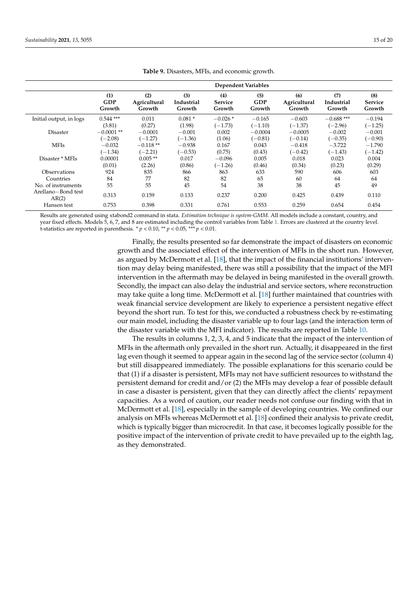<span id="page-14-0"></span>

|                                          | <b>Dependent Variables</b> |              |            |                |            |              |              |                |  |
|------------------------------------------|----------------------------|--------------|------------|----------------|------------|--------------|--------------|----------------|--|
|                                          | (1)                        | (2)          | (3)        | (4)            | (5)        | (6)          | (7)          | (8)            |  |
|                                          | <b>GDP</b>                 | Agricultural | Industrial | <b>Service</b> | <b>GDP</b> | Agricultural | Industrial   | <b>Service</b> |  |
|                                          | Growth                     | Growth       | Growth     | Growth         | Growth     | Growth       | Growth       | Growth         |  |
| Initial output, in logs                  | $0.544$ ***                | 0.011        | $0.081*$   | $-0.026*$      | $-0.165$   | $-0.603$     | $-0.688$ *** | $-0.194$       |  |
|                                          | (3.81)                     | (0.27)       | (1.98)     | $(-1.73)$      | $(-1.10)$  | $(-1.37)$    | $(-2.96)$    | $(-1.25)$      |  |
| Disaster                                 | $-0.0001**$                | $-0.0001$    | $-0.001$   | 0.002          | $-0.0004$  | $-0.0005$    | $-0.002$     | $-0.001$       |  |
|                                          | $(-2.08)$                  | $(-1.27)$    | $(-1.36)$  | (1.06)         | $(-0.81)$  | $(-0.14)$    | $(-0.35)$    | $(-0.90)$      |  |
| <b>MFIs</b>                              | $-0.032$                   | $-0.118**$   | $-0.938$   | 0.167          | 0.043      | $-0.418$     | $-3.722$     | $-1.790$       |  |
|                                          | $(-1.34)$                  | $(-2.21)$    | $(-0.53)$  | (0.75)         | (0.43)     | $(-0.42)$    | $(-1.43)$    | $(-1.42)$      |  |
| Disaster * MFIs                          | 0.00001                    | $0.005**$    | 0.017      | $-0.096$       | 0.005      | 0.018        | 0.023        | 0.004          |  |
|                                          | (0.01)                     | (2.26)       | (0.86)     | $(-1.26)$      | (0.46)     | (0.34)       | (0.23)       | (0.29)         |  |
| <b>Observations</b>                      | 924                        | 835          | 866        | 863            | 633        | 590          | 606          | 603            |  |
| Countries                                | 84                         | 77           | 82         | 82             | 65         | 60           | 64           | 64             |  |
| No. of instruments<br>Arellano-Bond test | 55                         | 55           | 45         | 54             | 38         | 38           | 45           | 49             |  |
| AR(2)                                    | 0.313                      | 0.159        | 0.133      | 0.237          | 0.200      | 0.425        | 0.439        | 0.110          |  |
| Hansen test                              | 0.753                      | 0.398        | 0.331      | 0.761          | 0.553      | 0.259        | 0.654        | 0.454          |  |

**Table 9.** Disasters, MFIs, and economic growth.

Results are generated using xtabond2 command in stata. *Estimation technique is system-GMM*. All models include a constant, country, and year fixed effects. Models 5, 6, 7, and 8 are estimated including the control variables from Table [1.](#page-8-0) Errors are clustered at the country level. t-statistics are reported in parenthesis.  $p < 0.10$ ,  $\rightarrow p < 0.05$ ,  $\rightarrow \rightarrow p < 0.01$ .

> Finally, the results presented so far demonstrate the impact of disasters on economic growth and the associated effect of the intervention of MFIs in the short run. However, as argued by McDermott et al. [\[18\]](#page-18-6), that the impact of the financial institutions' intervention may delay being manifested, there was still a possibility that the impact of the MFI intervention in the aftermath may be delayed in being manifested in the overall growth. Secondly, the impact can also delay the industrial and service sectors, where reconstruction may take quite a long time. McDermott et al. [\[18\]](#page-18-6) further maintained that countries with weak financial service development are likely to experience a persistent negative effect beyond the short run. To test for this, we conducted a robustness check by re-estimating our main model, including the disaster variable up to four lags (and the interaction term of the disaster variable with the MFI indicator). The results are reported in Table [10.](#page-15-0)

> The results in columns 1, 2, 3, 4, and 5 indicate that the impact of the intervention of MFIs in the aftermath only prevailed in the short run. Actually, it disappeared in the first lag even though it seemed to appear again in the second lag of the service sector (column 4) but still disappeared immediately. The possible explanations for this scenario could be that (1) if a disaster is persistent, MFIs may not have sufficient resources to withstand the persistent demand for credit and/or (2) the MFIs may develop a fear of possible default in case a disaster is persistent, given that they can directly affect the clients' repayment capacities. As a word of caution, our reader needs not confuse our finding with that in McDermott et al. [\[18\]](#page-18-6), especially in the sample of developing countries. We confined our analysis on MFIs whereas McDermott et al. [\[18\]](#page-18-6) confined their analysis to private credit, which is typically bigger than microcredit. In that case, it becomes logically possible for the positive impact of the intervention of private credit to have prevailed up to the eighth lag, as they demonstrated.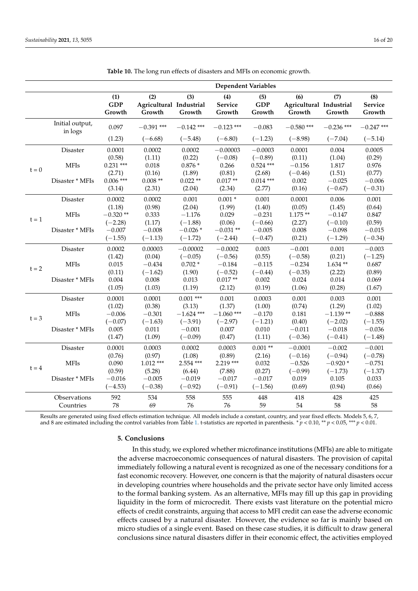<span id="page-15-0"></span>

|         |                            | <b>Dependent Variables</b>  |                                          |               |                          |                             |                                          |               |                          |
|---------|----------------------------|-----------------------------|------------------------------------------|---------------|--------------------------|-----------------------------|------------------------------------------|---------------|--------------------------|
|         |                            | (1)<br><b>GDP</b><br>Growth | (2)<br>Agricultural Industrial<br>Growth | (3)<br>Growth | (4)<br>Service<br>Growth | (5)<br><b>GDP</b><br>Growth | (6)<br>Agricultural Industrial<br>Growth | (7)<br>Growth | (8)<br>Service<br>Growth |
|         | Initial output,<br>in logs | 0.097                       | $-0.391$ ***                             | $-0.142$ ***  | $-0.123$ ***             | $-0.083$                    | $-0.580$ ***                             | $-0.236$ ***  | $-0.247$ ***             |
|         |                            | (1.23)                      | $(-6.68)$                                | $(-5.48)$     | $(-6.80)$                | $(-1.23)$                   | $(-8.98)$                                | $(-7.04)$     | $(-5.14)$                |
|         | Disaster                   | 0.0001                      | 0.0002                                   | 0.0002        | $-0.00003$               | $-0.0003$                   | 0.0001                                   | 0.004         | 0.0005                   |
|         |                            | (0.58)                      | (1.11)                                   | (0.22)        | $(-0.08)$                | $(-0.89)$                   | (0.11)                                   | (1.04)        | (0.29)                   |
| $t = 0$ | <b>MFIs</b>                | $0.231$ ***                 | 0.018                                    | $0.876*$      | 0.266                    | $0.524$ ***                 | $-0.156$                                 | 1.817         | 0.976                    |
|         |                            | (2.71)                      | (0.16)                                   | (1.89)        | (0.81)                   | (2.68)                      | $(-0.46)$                                | (1.51)        | (0.77)                   |
|         | Disaster * MFIs            | $0.006$ ***                 | $0.008**$                                | $0.022**$     | $0.017**$                | $0.014***$                  | 0.002                                    | $-0.025$      | $-0.006$                 |
|         |                            | (3.14)                      | (2.31)                                   | (2.04)        | (2.34)                   | (2.77)                      | (0.16)                                   | $(-0.67)$     | $(-0.31)$                |
|         | Disaster                   | 0.0002                      | 0.0002                                   | 0.001         | $0.001 *$                | 0.001                       | 0.0001                                   | 0.006         | 0.001                    |
|         |                            | (1.18)                      | (0.98)                                   | (2.04)        | (1.99)                   | (1.40)                      | (0.05)                                   | (1.45)        | (0.64)                   |
|         | <b>MFIs</b>                | $-0.320**$                  | 0.333                                    | $-1.176$      | 0.029                    | $-0.231$                    | $1.175**$                                | $-0.147$      | 0.847                    |
| $t = 1$ |                            | $(-2.28)$                   | (1.17)                                   | $(-1.88)$     | (0.06)                   | $(-0.66)$                   | (2.27)                                   | $(-0.10)$     | (0.59)                   |
|         | Disaster * MFIs            | $-0.007$                    | $-0.008$                                 | $-0.026*$     | $-0.031**$               | $-0.005$                    | 0.008                                    | $-0.098$      | $-0.015$                 |
|         |                            | $(-1.55)$                   | $(-1.13)$                                | $(-1.72)$     | $(-2.44)$                | $(-0.47)$                   | (0.21)                                   | $(-1.29)$     | $(-0.34)$                |
|         | Disaster                   | 0.0002                      | 0.00003                                  | $-0.00002$    | $-0.0002$                | 0.003                       | $-0.001$                                 | 0.001         | $-0.003$                 |
|         |                            | (1.42)                      | (0.04)                                   | $(-0.05)$     | $(-0.56)$                | (0.55)                      | $(-0.58)$                                | (0.21)        | $(-1.25)$                |
|         | <b>MFIs</b>                | 0.015                       | $-0.434$                                 | $0.702*$      | $-0.184$                 | $-0.115$                    | $-0.234$                                 | $1.634**$     | 0.687                    |
| $t = 2$ |                            | (0.11)                      | $(-1.62)$                                | (1.90)        | $(-0.52)$                | $(-0.44)$                   | $(-0.35)$                                | (2.22)        | (0.89)                   |
|         | Disaster * MFIs            | 0.004                       | 0.008                                    | 0.013         | $0.017**$                | 0.002                       | 0.024                                    | 0.014         | 0.069                    |
|         |                            | (1.05)                      | (1.03)                                   | (1.19)        | (2.12)                   | (0.19)                      | (1.06)                                   | (0.28)        | (1.67)                   |
|         | <b>Disaster</b>            | 0.0001                      | 0.0001                                   | $0.001$ ***   | 0.001                    | 0.0003                      | 0.001                                    | 0.003         | 0.001                    |
|         |                            | (1.02)                      | (0.38)                                   | (3.13)        | (1.37)                   | (1.00)                      | (0.74)                                   | (1.29)        | (1.02)                   |
|         | <b>MFIs</b>                | $-0.006$                    | $-0.301$                                 | $-1.624$ ***  | $-1.060$ ***             | $-0.170$                    | 0.181                                    | $-1.139**$    | $-0.888$                 |
| $t = 3$ |                            | $(-0.07)$                   | $(-1.63)$                                | $(-3.91)$     | $(-2.97)$                | $(-1.21)$                   | (0.40)                                   | $(-2.02)$     | $(-1.55)$                |
|         | Disaster * MFIs            | 0.005                       | 0.011                                    | $-0.001$      | 0.007                    | 0.010                       | $-0.011$                                 | $-0.018$      | $-0.036$                 |
|         |                            | (1.47)                      | (1.09)                                   | $(-0.09)$     | (0.47)                   | (1.11)                      | $(-0.36)$                                | $(-0.41)$     | $(-1.48)$                |
|         | Disaster                   | 0.0001                      | 0.0003                                   | 0.0002        | 0.0003                   | $0.001**$                   | $-0.0001$                                | $-0.002$      | $-0.001$                 |
| $t = 4$ |                            | (0.76)                      | (0.97)                                   | (1.08)        | (0.89)                   | (2.16)                      | $(-0.16)$                                | $(-0.94)$     | $(-0.78)$                |
|         | <b>MFIs</b>                | 0.090                       | $1.012***$                               | 2.554 ***     | 2.219 ***                | 0.032                       | $-0.526$                                 | $-0.920*$     | $-0.751$                 |
|         |                            | (0.59)                      | (5.28)                                   | (6.44)        | (7.88)                   | (0.27)                      | $(-0.99)$                                | $(-1.73)$     | $(-1.37)$                |
|         | Disaster * MFIs            | $-0.016$                    | $-0.005$                                 | $-0.019$      | $-0.017$                 | $-0.017$                    | 0.019                                    | 0.105         | 0.033                    |
|         |                            | $(-4.53)$                   | $(-0.38)$                                | $(-0.92)$     | $(-0.91)$                | $(-1.56)$                   | (0.69)                                   | (0.94)        | (0.66)                   |
|         | Observations               | 592                         | 534                                      | 558           | 555                      | 448                         | 418                                      | 428           | 425                      |
|         | Countries                  | 78                          | 69                                       | 76            | 76                       | 59                          | 54                                       | 58            | 58                       |
|         |                            |                             |                                          |               |                          |                             |                                          |               |                          |

|  |  |  |  |  | Table 10. The long run effects of disasters and MFIs on economic growth. |
|--|--|--|--|--|--------------------------------------------------------------------------|
|--|--|--|--|--|--------------------------------------------------------------------------|

Results are generated using fixed effects estimation technique. All models include a constant, country, and year fixed effects. Models 5, 6, 7, and 8 are estimated including the control variables from Table [1.](#page-8-0) t-statistics are reported in parenthesis. *\**  $p$  < 0.05, \*\*\*  $p$  < 0.01.

#### **5. Conclusions**

In this study, we explored whether microfinance institutions (MFIs) are able to mitigate the adverse macroeconomic consequences of natural disasters. The provision of capital immediately following a natural event is recognized as one of the necessary conditions for a fast economic recovery. However, one concern is that the majority of natural disasters occur in developing countries where households and the private sector have only limited access to the formal banking system. As an alternative, MFIs may fill up this gap in providing liquidity in the form of microcredit. There exists vast literature on the potential micro effects of credit constraints, arguing that access to MFI credit can ease the adverse economic effects caused by a natural disaster. However, the evidence so far is mainly based on micro studies of a single event. Based on these case studies, it is difficult to draw general conclusions since natural disasters differ in their economic effect, the activities employed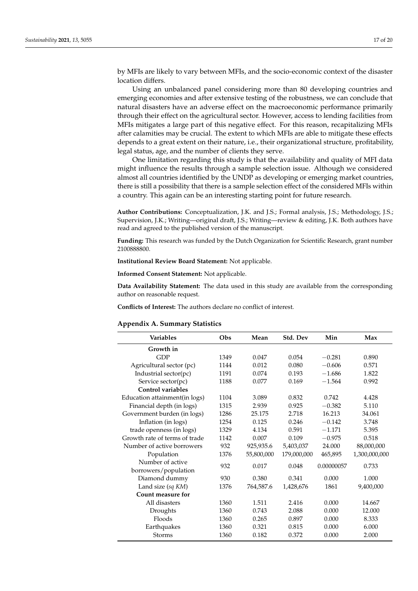by MFIs are likely to vary between MFIs, and the socio-economic context of the disaster location differs.

Using an unbalanced panel considering more than 80 developing countries and emerging economies and after extensive testing of the robustness, we can conclude that natural disasters have an adverse effect on the macroeconomic performance primarily through their effect on the agricultural sector. However, access to lending facilities from MFIs mitigates a large part of this negative effect. For this reason, recapitalizing MFIs after calamities may be crucial. The extent to which MFIs are able to mitigate these effects depends to a great extent on their nature, i.e., their organizational structure, profitability, legal status, age, and the number of clients they serve.

One limitation regarding this study is that the availability and quality of MFI data might influence the results through a sample selection issue. Although we considered almost all countries identified by the UNDP as developing or emerging market countries, there is still a possibility that there is a sample selection effect of the considered MFIs within a country. This again can be an interesting starting point for future research.

**Author Contributions:** Conceptualization, J.K. and J.S.; Formal analysis, J.S.; Methodology, J.S.; Supervision, J.K.; Writing—original draft, J.S.; Writing—review & editing, J.K. Both authors have read and agreed to the published version of the manuscript.

**Funding:** This research was funded by the Dutch Organization for Scientific Research, grant number 2100888800.

**Institutional Review Board Statement:** Not applicable.

**Informed Consent Statement:** Not applicable.

**Data Availability Statement:** The data used in this study are available from the corresponding author on reasonable request.

**Conflicts of Interest:** The authors declare no conflict of interest.

### <span id="page-16-0"></span>**Appendix A. Summary Statistics**

| <b>Variables</b>                         | Obs  | Mean       | Std. Dev    | Min        | Max           |
|------------------------------------------|------|------------|-------------|------------|---------------|
| Growth in                                |      |            |             |            |               |
| <b>GDP</b>                               | 1349 | 0.047      | 0.054       | $-0.281$   | 0.890         |
| Agricultural sector (pc)                 | 1144 | 0.012      | 0.080       | $-0.606$   | 0.571         |
| Industrial sector(pc)                    | 1191 | 0.074      | 0.193       | $-1.686$   | 1.822         |
| Service sector(pc)                       | 1188 | 0.077      | 0.169       | $-1.564$   | 0.992         |
| Control variables                        |      |            |             |            |               |
| Education attainment(in logs)            | 1104 | 3.089      | 0.832       | 0.742      | 4.428         |
| Financial depth (in logs)                | 1315 | 2.939      | 0.925       | $-0.382$   | 5.110         |
| Government burden (in logs)              | 1286 | 25.175     | 2.718       | 16.213     | 34.061        |
| Inflation (in logs)                      | 1254 | 0.125      | 0.246       | $-0.142$   | 3.748         |
| trade openness (in logs)                 | 1329 | 4.134      | 0.591       | $-1.171$   | 5.395         |
| Growth rate of terms of trade            | 1142 | 0.007      | 0.109       | $-0.975$   | 0.518         |
| Number of active borrowers               | 932  | 925,935.6  | 5,403,037   | 24.000     | 88,000,000    |
| Population                               | 1376 | 55,800,000 | 179,000,000 | 465,895    | 1,300,000,000 |
| Number of active<br>borrowers/population | 932  | 0.017      | 0.048       | 0.00000057 | 0.733         |
| Diamond dummy                            | 930  | 0.380      | 0.341       | 0.000      | 1.000         |
| Land size (sq KM)                        | 1376 | 764,587.6  | 1,428,676   | 1861       | 9,400,000     |
| Count measure for                        |      |            |             |            |               |
| All disasters                            | 1360 | 1.511      | 2.416       | 0.000      | 14.667        |
| Droughts                                 | 1360 | 0.743      | 2.088       | 0.000      | 12.000        |
| <b>Floods</b>                            | 1360 | 0.265      | 0.897       | 0.000      | 8.333         |
| Earthquakes                              | 1360 | 0.321      | 0.815       | 0.000      | 6.000         |
| <b>Storms</b>                            | 1360 | 0.182      | 0.372       | 0.000      | 2.000         |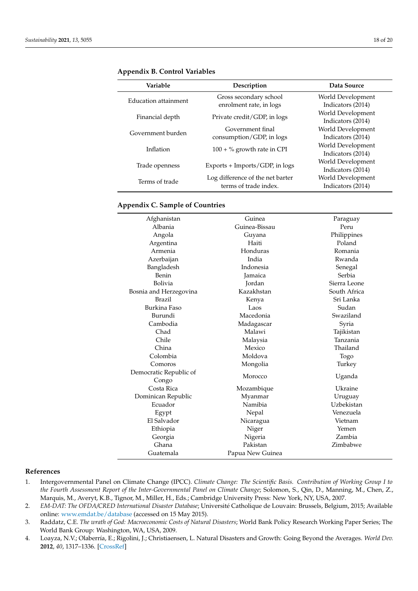| Variable             | Description                                               | Data Source                            |
|----------------------|-----------------------------------------------------------|----------------------------------------|
| Education attainment | Gross secondary school                                    | World Development                      |
|                      | enrolment rate, in logs<br>Private credit/GDP, in logs    | Indicators (2014)<br>World Development |
| Financial depth      |                                                           | Indicators (2014)                      |
| Government burden    | Government final<br>consumption/GDP, in logs              | World Development<br>Indicators (2014) |
| Inflation            | $100 + %$ growth rate in CPI                              | World Development                      |
|                      |                                                           | Indicators (2014)<br>World Development |
| Trade openness       | Exports + Imports/GDP, in logs                            | Indicators (2014)                      |
| Terms of trade       | Log difference of the net barter<br>terms of trade index. | World Development<br>Indicators (2014) |

<span id="page-17-5"></span>**Appendix B. Control Variables**

## <span id="page-17-4"></span>**Appendix C. Sample of Countries**

| Afghanistan                     | Guinea           | Paraguay     |  |
|---------------------------------|------------------|--------------|--|
| Albania                         | Guinea-Bissau    | Peru         |  |
| Angola                          | Guyana           | Philippines  |  |
| Argentina                       | Haiti            | Poland       |  |
| Armenia                         | Honduras         | Romania      |  |
| Azerbaijan                      | India            | Rwanda       |  |
| Bangladesh                      | Indonesia        | Senegal      |  |
| Benin                           | <b>Jamaica</b>   | Serbia       |  |
| <b>Bolivia</b>                  | Jordan           | Sierra Leone |  |
| Bosnia and Herzegovina          | Kazakhstan       | South Africa |  |
| <b>Brazil</b>                   | Kenya            | Sri Lanka    |  |
| Burkina Faso                    | Laos             | Sudan        |  |
| Burundi                         | Macedonia        | Swaziland    |  |
| Cambodia                        | Madagascar       | Syria        |  |
| Chad                            | Malawi           | Tajikistan   |  |
| Chile                           | Malaysia         | Tanzania     |  |
| China                           | Mexico           | Thailand     |  |
| Colombia                        | Moldova          | Togo         |  |
| Comoros                         | Mongolia         | Turkey       |  |
| Democratic Republic of<br>Congo | Morocco          | Uganda       |  |
| Costa Rica                      | Mozambique       | Ukraine      |  |
| Dominican Republic              | Myanmar          | Uruguay      |  |
| Ecuador                         | Namibia          | Uzbekistan   |  |
| Egypt                           | Nepal            | Venezuela    |  |
| El Salvador                     | Nicaragua        | Vietnam      |  |
| Ethiopia                        | Niger            | Yemen        |  |
| Georgia                         | Nigeria          | Zambia       |  |
| Ghana                           | Pakistan         | Zimbabwe     |  |
| Guatemala                       | Papua New Guinea |              |  |

## **References**

- <span id="page-17-0"></span>1. Intergovernmental Panel on Climate Change (IPCC). *Climate Change: The Scientific Basis. Contribution of Working Group I to the Fourth Assessment Report of the Inter-Governmental Panel on Climate Change*; Solomon, S., Qin, D., Manning, M., Chen, Z., Marquis, M., Averyt, K.B., Tignor, M., Miller, H., Eds.; Cambridge University Press: New York, NY, USA, 2007.
- <span id="page-17-1"></span>2. *EM-DAT: The OFDA/CRED International Disaster Database*; Université Catholique de Louvain: Brussels, Belgium, 2015; Available online: <www.emdat.be/database> (accessed on 15 May 2015).
- <span id="page-17-2"></span>3. Raddatz, C.E. *The wrath of God: Macroeconomic Costs of Natural Disasters*; World Bank Policy Research Working Paper Series; The World Bank Group: Washington, WA, USA, 2009.
- <span id="page-17-3"></span>4. Loayza, N.V.; Olaberría, E.; Rigolini, J.; Christiaensen, L. Natural Disasters and Growth: Going Beyond the Averages. *World Dev.* **2012**, *40*, 1317–1336. [\[CrossRef\]](http://doi.org/10.1016/j.worlddev.2012.03.002)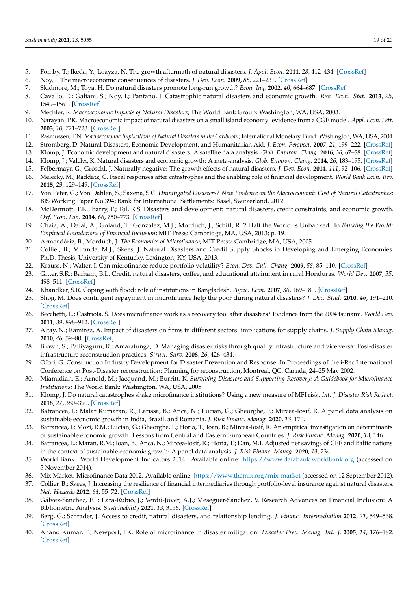- 5. Fomby, T.; Ikeda, Y.; Loayza, N. The growth aftermath of natural disasters. *J. Appl. Econ.* **2011**, *28*, 412–434. [\[CrossRef\]](http://doi.org/10.1002/jae.1273)
- <span id="page-18-0"></span>6. Noy, I. The macroeconomic consequences of disasters. *J. Dev. Econ.* **2009**, *88*, 221–231. [\[CrossRef\]](http://doi.org/10.1016/j.jdeveco.2008.02.005)
- <span id="page-18-1"></span>7. Skidmore, M.; Toya, H. Do natural disasters promote long-run growth? *Econ. Inq.* **2002**, *40*, 664–687. [\[CrossRef\]](http://doi.org/10.1093/ei/40.4.664)
- 8. Cavallo, E.; Galiani, S.; Noy, I.; Pantano, J. Catastrophic natural disasters and economic growth. *Rev. Econ. Stat.* **2013**, *95*, 1549–1561. [\[CrossRef\]](http://doi.org/10.1162/REST_a_00413)
- 9. Mechler, R. *Macroeconomic Impacts of Natural Disasters*; The World Bank Group: Washington, WA, USA, 2003.
- 10. Narayan, P.K. Macroeconomic impact of natural disasters on a small island economy: evidence from a CGE model. *Appl. Econ. Lett.* **2003**, *10*, 721–723. [\[CrossRef\]](http://doi.org/10.1080/1350485032000133372)
- <span id="page-18-28"></span>11. Rasmussen, T.N. *Macroeconomic Implications of Natural Disasters in the Caribbean*; International Monetary Fund: Washington, WA, USA, 2004.
- 12. Strömberg, D. Natural Disasters, Economic Development, and Humanitarian Aid. *J. Econ. Perspect.* **2007**, *21*, 199–222. [\[CrossRef\]](http://doi.org/10.1257/jep.21.3.199)
- <span id="page-18-27"></span>13. Klomp, J. Economic development and natural disasters: A satellite data analysis. *Glob. Environ. Chang.* **2016**, *36*, 67–88. [\[CrossRef\]](http://doi.org/10.1016/j.gloenvcha.2015.11.001)
- <span id="page-18-3"></span>14. Klomp, J.; Valckx, K. Natural disasters and economic growth: A meta-analysis. *Glob. Environ. Chang.* **2014**, *26*, 183–195. [\[CrossRef\]](http://doi.org/10.1016/j.gloenvcha.2014.02.006)
- <span id="page-18-2"></span>15. Felbermayr, G.; Gröschl, J. Naturally negative: The growth effects of natural disasters. *J. Dev. Econ.* **2014**, *111*, 92–106. [\[CrossRef\]](http://doi.org/10.1016/j.jdeveco.2014.07.004)
- <span id="page-18-4"></span>16. Melecky, M.; Raddatz, C. Fiscal responses after catastrophes and the enabling role of financial development. *World Bank Econ. Rev.* **2015**, *29*, 129–149. [\[CrossRef\]](http://doi.org/10.1093/wber/lht041)
- <span id="page-18-5"></span>17. Von Peter, G.; Von Dahlen, S.; Saxena, S.C. *Unmitigated Disasters? New Evidence on the Macroeconomic Cost of Natural Catastrophes*; BIS Working Paper No 394; Bank for International Settlements: Basel, Switzerland, 2012.
- <span id="page-18-6"></span>18. McDermott, T.K.; Barry, F.; Tol, R.S. Disasters and development: natural disasters, credit constraints, and economic growth. *Oxf. Econ. Pap.* **2014**, *66*, 750–773. [\[CrossRef\]](http://doi.org/10.1093/oep/gpt034)
- <span id="page-18-7"></span>19. Chaia, A.; Dalal, A.; Goland, T.; Gonzalez, M.J.; Morduch, J.; Schiff, R. 2 Half the World Is Unbanked. In *Banking the World: Empirical Foundations of Financial Inclusion*; MIT Press: Cambridge, MA, USA, 2013; p. 19.
- <span id="page-18-8"></span>20. Armendáriz, B.; Morduch, J. *The Economics of Microfinance*; MIT Press: Cambridge, MA, USA, 2005.
- 21. Collier, B.; Miranda, M.J.; Skees, J. Natural Disasters and Credit Supply Shocks in Developing and Emerging Economies. Ph.D. Thesis, University of Kentucky, Lexington, KY, USA, 2013.
- <span id="page-18-9"></span>22. Krauss, N.; Walter, I. Can microfinance reduce portfolio volatility? *Econ. Dev. Cult. Chang.* **2009**, *58*, 85–110. [\[CrossRef\]](http://doi.org/10.1086/605206)
- <span id="page-18-10"></span>23. Gitter, S.R.; Barham, B.L. Credit, natural disasters, coffee, and educational attainment in rural Honduras. *World Dev.* **2007**, *35*, 498–511. [\[CrossRef\]](http://doi.org/10.1016/j.worlddev.2006.03.007)
- <span id="page-18-26"></span>24. Khandker, S.R. Coping with flood: role of institutions in Bangladesh. *Agric. Econ.* **2007**, *36*, 169–180. [\[CrossRef\]](http://doi.org/10.1111/j.1574-0862.2007.00196.x)
- <span id="page-18-23"></span>25. Shoji, M. Does contingent repayment in microfinance help the poor during natural disasters? *J. Dev. Stud.* **2010**, *46*, 191–210. [\[CrossRef\]](http://doi.org/10.1080/00220380902952381)
- <span id="page-18-11"></span>26. Becchetti, L.; Castriota, S. Does microfinance work as a recovery tool after disasters? Evidence from the 2004 tsunami. *World Dev.* **2011**, *39*, 898–912. [\[CrossRef\]](http://doi.org/10.1016/j.worlddev.2009.10.020)
- <span id="page-18-12"></span>27. Altay, N.; Ramirez, A. Impact of disasters on firms in different sectors: implications for supply chains. *J. Supply Chain Manag.* **2010**, *46*, 59–80. [\[CrossRef\]](http://doi.org/10.1111/j.1745-493X.2010.03206.x)
- <span id="page-18-13"></span>28. Brown, S.; Palliyaguru, R.; Amaratunga, D. Managing disaster risks through quality infrastructure and vice versa: Post-disaster infrastructure reconstruction practices. *Struct. Surv.* **2008**, *26*, 426–434.
- <span id="page-18-14"></span>29. Ofori, G. Construction Industry Development for Disaster Prevention and Response. In Proceedings of the i-Rec International Conference on Post-Disaster reconstruction: Planning for reconstruction, Montreal, QC, Canada, 24–25 May 2002.
- <span id="page-18-15"></span>30. Miamidian, E.; Arnold, M.; Jacquand, M.; Burritt, K. *Surviving Disasters and Supporting Recovery: A Guidebook for Microfinance Institutions*; The World Bank: Washington, WA, USA, 2005.
- <span id="page-18-16"></span>31. Klomp, J. Do natural catastrophes shake microfinance institutions? Using a new measure of MFI risk. *Int. J. Disaster Risk Reduct.* **2018**, *27*, 380–390. [\[CrossRef\]](http://doi.org/10.1016/j.ijdrr.2017.10.026)
- <span id="page-18-17"></span>32. Batrancea, I.; Malar Kumaran, R.; Larissa, B.; Anca, N.; Lucian, G.; Gheorghe, F.; Mircea-Iosif, R. A panel data analysis on sustainable economic growth in India, Brazil, and Romania. *J. Risk Financ. Manag.* **2020**, *13*, 170.
- 33. Batrancea, I.; Mozi, R.M.; Lucian, G.; Gheorghe, F.; Horia, T.; Ioan, B.; Mircea-Iosif, R. An empirical investigation on determinants of sustainable economic growth. Lessons from Central and Eastern European Countries. *J. Risk Financ. Manag.* **2020**, *13*, 146.
- <span id="page-18-18"></span>34. Batrancea, L.; Maran, R.M.; Ioan, B.; Anca, N.; Mircea-Iosif, R.; Horia, T.; Dan, M.I. Adjusted net savings of CEE and Baltic nations in the context of sustainable economic growth: A panel data analysis. *J. Risk Financ. Manag.* **2020**, *13*, 234.
- <span id="page-18-19"></span>35. World Bank. World Development Indicators 2014. Available online: <https://www.databank.worldbank.org> (accessed on 5 November 2014).
- <span id="page-18-20"></span>36. Mix Market. Microfinance Data 2012. Available online: <https://www.themix.org/mix-market> (accessed on 12 September 2012).
- <span id="page-18-21"></span>37. Collier, B.; Skees, J. Increasing the resilience of financial intermediaries through portfolio-level insurance against natural disasters. *Nat. Hazards* **2012**, *64*, 55–72. [\[CrossRef\]](http://doi.org/10.1007/s11069-012-0227-0)
- <span id="page-18-22"></span>38. Gálvez-Sánchez, F.J.; Lara-Rubio, J.; Verdú-Jóver, A.J.; Meseguer-Sánchez, V. Research Advances on Financial Inclusion: A Bibliometric Analysis. *Sustainability* **2021**, *13*, 3156. [\[CrossRef\]](http://doi.org/10.3390/su13063156)
- <span id="page-18-24"></span>39. Berg, G.; Schrader, J. Access to credit, natural disasters, and relationship lending. *J. Financ. Intermediation* **2012**, *21*, 549–568. [\[CrossRef\]](http://doi.org/10.1016/j.jfi.2012.05.003)
- <span id="page-18-25"></span>40. Anand Kumar, T.; Newport, J.K. Role of microfinance in disaster mitigation. *Disaster Prev. Manag. Int. J.* **2005**, *14*, 176–182. [\[CrossRef\]](http://doi.org/10.1108/09653560510595173)